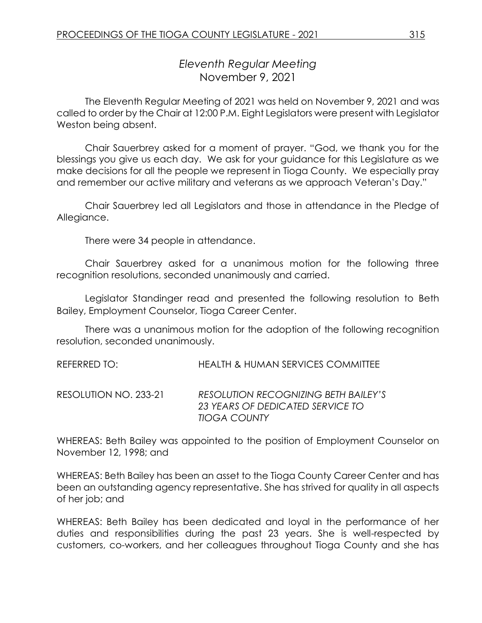# *Eleventh Regular Meeting* November 9, 2021

The Eleventh Regular Meeting of 2021 was held on November 9, 2021 and was called to order by the Chair at 12:00 P.M. Eight Legislators were present with Legislator Weston being absent.

Chair Sauerbrey asked for a moment of prayer. "God, we thank you for the blessings you give us each day. We ask for your guidance for this Legislature as we make decisions for all the people we represent in Tioga County. We especially pray and remember our active military and veterans as we approach Veteran's Day."

Chair Sauerbrey led all Legislators and those in attendance in the Pledge of Allegiance.

There were 34 people in attendance.

Chair Sauerbrey asked for a unanimous motion for the following three recognition resolutions, seconded unanimously and carried.

Legislator Standinger read and presented the following resolution to Beth Bailey, Employment Counselor, Tioga Career Center.

There was a unanimous motion for the adoption of the following recognition resolution, seconded unanimously.

REFERRED TO: HEALTH & HUMAN SERVICES COMMITTEE

RESOLUTION NO. 233-21 *RESOLUTION RECOGNIZING BETH BAILEY'S 23 YEARS OF DEDICATED SERVICE TO TIOGA COUNTY*

WHEREAS: Beth Bailey was appointed to the position of Employment Counselor on November 12, 1998; and

WHEREAS: Beth Bailey has been an asset to the Tioga County Career Center and has been an outstanding agency representative. She has strived for quality in all aspects of her job; and

WHEREAS: Beth Bailey has been dedicated and loyal in the performance of her duties and responsibilities during the past 23 years. She is well-respected by customers, co-workers, and her colleagues throughout Tioga County and she has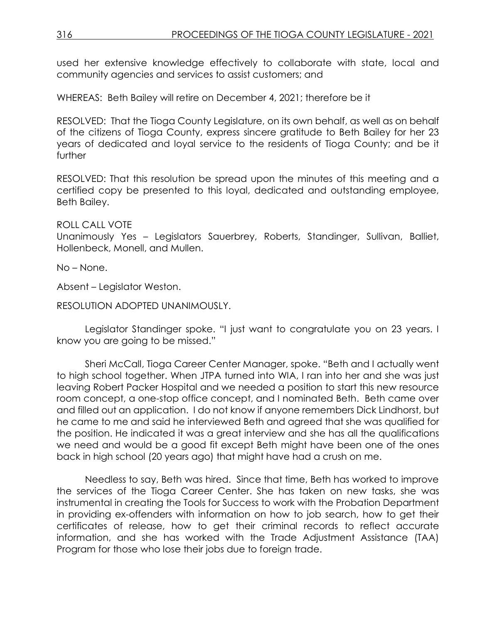used her extensive knowledge effectively to collaborate with state, local and community agencies and services to assist customers; and

WHEREAS: Beth Bailey will retire on December 4, 2021; therefore be it

RESOLVED: That the Tioga County Legislature, on its own behalf, as well as on behalf of the citizens of Tioga County, express sincere gratitude to Beth Bailey for her 23 years of dedicated and loyal service to the residents of Tioga County; and be it further

RESOLVED: That this resolution be spread upon the minutes of this meeting and a certified copy be presented to this loyal, dedicated and outstanding employee, Beth Bailey.

#### ROLL CALL VOTE

Unanimously Yes – Legislators Sauerbrey, Roberts, Standinger, Sullivan, Balliet, Hollenbeck, Monell, and Mullen.

No – None.

Absent – Legislator Weston.

RESOLUTION ADOPTED UNANIMOUSLY.

Legislator Standinger spoke. "I just want to congratulate you on 23 years. I know you are going to be missed."

Sheri McCall, Tioga Career Center Manager, spoke. "Beth and I actually went to high school together. When JTPA turned into WIA, I ran into her and she was just leaving Robert Packer Hospital and we needed a position to start this new resource room concept, a one-stop office concept, and I nominated Beth. Beth came over and filled out an application. I do not know if anyone remembers Dick Lindhorst, but he came to me and said he interviewed Beth and agreed that she was qualified for the position. He indicated it was a great interview and she has all the qualifications we need and would be a good fit except Beth might have been one of the ones back in high school (20 years ago) that might have had a crush on me.

Needless to say, Beth was hired. Since that time, Beth has worked to improve the services of the Tioga Career Center. She has taken on new tasks, she was instrumental in creating the Tools for Success to work with the Probation Department in providing ex-offenders with information on how to job search, how to get their certificates of release, how to get their criminal records to reflect accurate information, and she has worked with the Trade Adjustment Assistance (TAA) Program for those who lose their jobs due to foreign trade.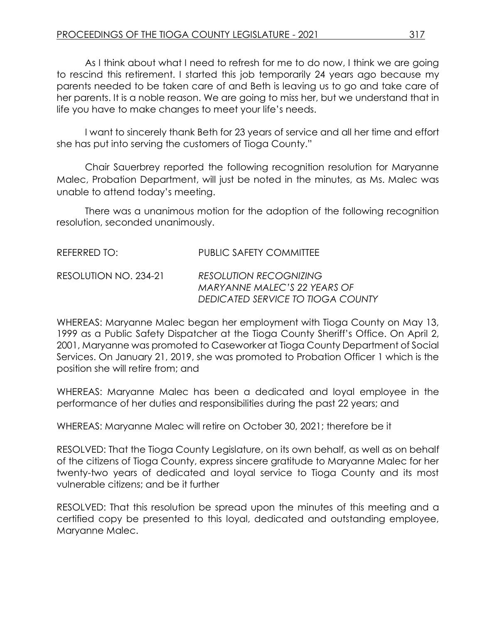As I think about what I need to refresh for me to do now, I think we are going to rescind this retirement. I started this job temporarily 24 years ago because my parents needed to be taken care of and Beth is leaving us to go and take care of her parents. It is a noble reason. We are going to miss her, but we understand that in life you have to make changes to meet your life's needs.

I want to sincerely thank Beth for 23 years of service and all her time and effort she has put into serving the customers of Tioga County."

Chair Sauerbrey reported the following recognition resolution for Maryanne Malec, Probation Department, will just be noted in the minutes, as Ms. Malec was unable to attend today's meeting.

There was a unanimous motion for the adoption of the following recognition resolution, seconded unanimously.

| REFERRED TO:          | PUBLIC SAFETY COMMITTEE                                                                            |
|-----------------------|----------------------------------------------------------------------------------------------------|
| RESOLUTION NO. 234-21 | <b>RESOLUTION RECOGNIZING</b><br>MARYANNE MALEC'S 22 YEARS OF<br>DEDICATED SERVICE TO TIOGA COUNTY |

WHEREAS: Maryanne Malec began her employment with Tioga County on May 13, 1999 as a Public Safety Dispatcher at the Tioga County Sheriff's Office. On April 2, 2001, Maryanne was promoted to Caseworker at Tioga County Department of Social Services. On January 21, 2019, she was promoted to Probation Officer 1 which is the position she will retire from; and

WHEREAS: Maryanne Malec has been a dedicated and loyal employee in the performance of her duties and responsibilities during the past 22 years; and

WHEREAS: Maryanne Malec will retire on October 30, 2021; therefore be it

RESOLVED: That the Tioga County Legislature, on its own behalf, as well as on behalf of the citizens of Tioga County, express sincere gratitude to Maryanne Malec for her twenty-two years of dedicated and loyal service to Tioga County and its most vulnerable citizens; and be it further

RESOLVED: That this resolution be spread upon the minutes of this meeting and a certified copy be presented to this loyal, dedicated and outstanding employee, Maryanne Malec.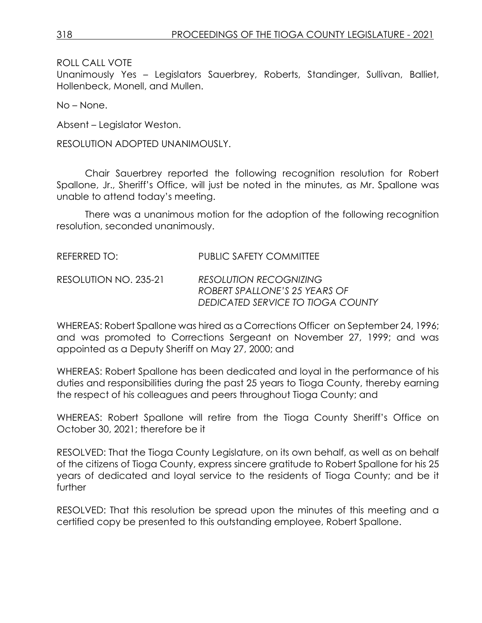ROLL CALL VOTE

Unanimously Yes – Legislators Sauerbrey, Roberts, Standinger, Sullivan, Balliet, Hollenbeck, Monell, and Mullen.

No – None.

Absent – Legislator Weston.

RESOLUTION ADOPTED UNANIMOUSLY.

Chair Sauerbrey reported the following recognition resolution for Robert Spallone, Jr., Sheriff's Office, will just be noted in the minutes, as Mr. Spallone was unable to attend today's meeting.

There was a unanimous motion for the adoption of the following recognition resolution, seconded unanimously.

| REFERRED TO: I        | <b>PUBLIC SAFETY COMMITTEE</b>                                                                      |
|-----------------------|-----------------------------------------------------------------------------------------------------|
| RESOLUTION NO. 235-21 | <b>RESOLUTION RECOGNIZING</b><br>ROBERT SPALLONE'S 25 YEARS OF<br>DEDICATED SERVICE TO TIOGA COUNTY |

WHEREAS: Robert Spallone was hired as a Corrections Officer on September 24, 1996; and was promoted to Corrections Sergeant on November 27, 1999; and was appointed as a Deputy Sheriff on May 27, 2000; and

WHEREAS: Robert Spallone has been dedicated and loyal in the performance of his duties and responsibilities during the past 25 years to Tioga County, thereby earning the respect of his colleagues and peers throughout Tioga County; and

WHEREAS: Robert Spallone will retire from the Tioga County Sheriff's Office on October 30, 2021; therefore be it

RESOLVED: That the Tioga County Legislature, on its own behalf, as well as on behalf of the citizens of Tioga County, express sincere gratitude to Robert Spallone for his 25 years of dedicated and loyal service to the residents of Tioga County; and be it further

RESOLVED: That this resolution be spread upon the minutes of this meeting and a certified copy be presented to this outstanding employee, Robert Spallone.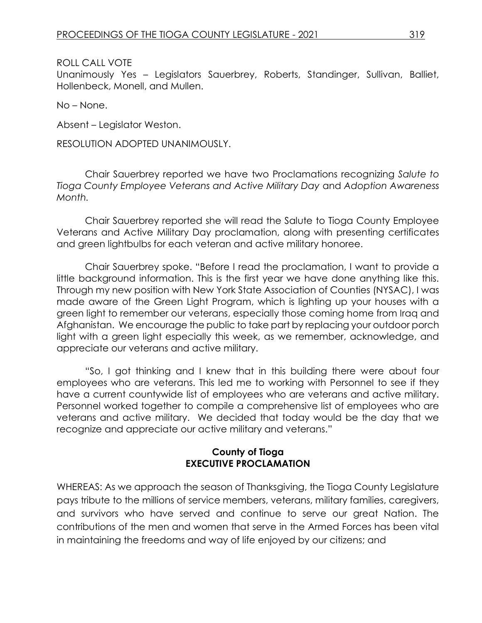ROLL CALL VOTE

Unanimously Yes – Legislators Sauerbrey, Roberts, Standinger, Sullivan, Balliet, Hollenbeck, Monell, and Mullen.

No – None.

Absent – Legislator Weston.

RESOLUTION ADOPTED UNANIMOUSLY.

Chair Sauerbrey reported we have two Proclamations recognizing *Salute to Tioga County Employee Veterans and Active Military Day* and *Adoption Awareness Month.* 

Chair Sauerbrey reported she will read the Salute to Tioga County Employee Veterans and Active Military Day proclamation, along with presenting certificates and green lightbulbs for each veteran and active military honoree.

Chair Sauerbrey spoke. "Before I read the proclamation, I want to provide a little background information. This is the first year we have done anything like this. Through my new position with New York State Association of Counties (NYSAC), I was made aware of the Green Light Program, which is lighting up your houses with a green light to remember our veterans, especially those coming home from Iraq and Afghanistan. We encourage the public to take part by replacing your outdoor porch light with a green light especially this week, as we remember, acknowledge, and appreciate our veterans and active military.

"So, I got thinking and I knew that in this building there were about four employees who are veterans. This led me to working with Personnel to see if they have a current countywide list of employees who are veterans and active military. Personnel worked together to compile a comprehensive list of employees who are veterans and active military. We decided that today would be the day that we recognize and appreciate our active military and veterans."

# **County of Tioga EXECUTIVE PROCLAMATION**

WHEREAS: As we approach the season of Thanksgiving, the Tioga County Legislature pays tribute to the millions of service members, veterans, military families, caregivers, and survivors who have served and continue to serve our great Nation. The contributions of the men and women that serve in the Armed Forces has been vital in maintaining the freedoms and way of life enjoyed by our citizens; and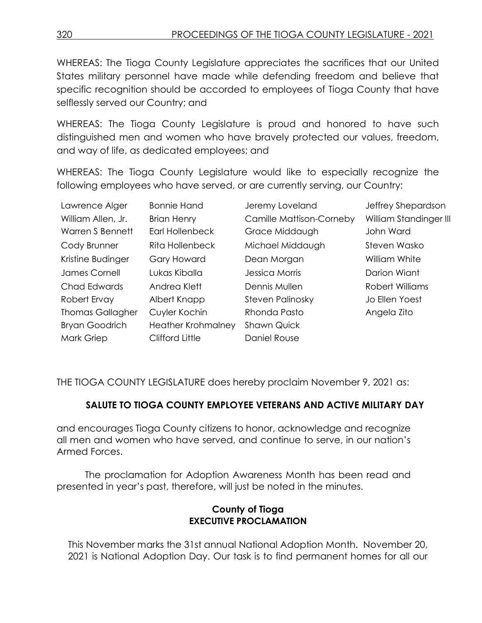WHEREAS: The Tioga County Legislature appreciates the sacrifices that our United States military personnel have made while defending freedom and believe that specific recognition should be accorded to employees of Tioga County that have selflessly served our Country; and

WHEREAS: The Tioga County Legislature is proud and honored to have such distinguished men and women who have bravely protected our values, freedom, and way of life, as dedicated employees; and

WHEREAS: The Tioga County Legislature would like to especially recognize the following employees who have served, or are currently serving, our Country:

| Lawrence Alger          | <b>Bonnie Hand</b>        | Jeremy Loveland                 | Jeffrey Shepardson     |
|-------------------------|---------------------------|---------------------------------|------------------------|
| William Allen, Jr.      | <b>Brian Henry</b>        | <b>Camille Mattison-Corneby</b> | William Standinger III |
| <b>Warren S Bennett</b> | <b>Earl Hollenbeck</b>    | Grace Middaugh                  | John Ward              |
| Cody Brunner            | Rita Hollenbeck           | Michael Middaugh                | Steven Wasko           |
| Kristine Budinger       | <b>Gary Howard</b>        | Dean Morgan                     | William White          |
| James Cornell           | Lukas Kiballa             | Jessica Morris                  | Darion Wiant           |
| Chad Edwards            | Andrea Klett              | Dennis Mullen                   | Robert Williams        |
| Robert Ervay            | Albert Knapp              | <b>Steven Palinosky</b>         | Jo Ellen Yoest         |
| <b>Thomas Gallagher</b> | Cuyler Kochin             | Rhonda Pasto                    | Angela Zito            |
| <b>Bryan Goodrich</b>   | <b>Heather Krohmalney</b> | <b>Shawn Quick</b>              |                        |
| Mark Griep              | Clifford Little           | Daniel Rouse                    |                        |

THE TIOGA COUNTY LEGISLATURE does hereby proclaim November 9, 2021 as:

# **SALUTE TO TIOGA COUNTY EMPLOYEE VETERANS AND ACTIVE MILITARY DAY**

and encourages Tioga County citizens to honor, acknowledge and recognize all men and women who have served, and continue to serve, in our nation's Armed Forces.

The proclamation for Adoption Awareness Month has been read and presented in year's past, therefore, will just be noted in the minutes.

# **County of Tioga EXECUTIVE PROCLAMATION**

This November marks the 31st annual National Adoption Month. November 20, 2021 is National Adoption Day. Our task is to find permanent homes for all our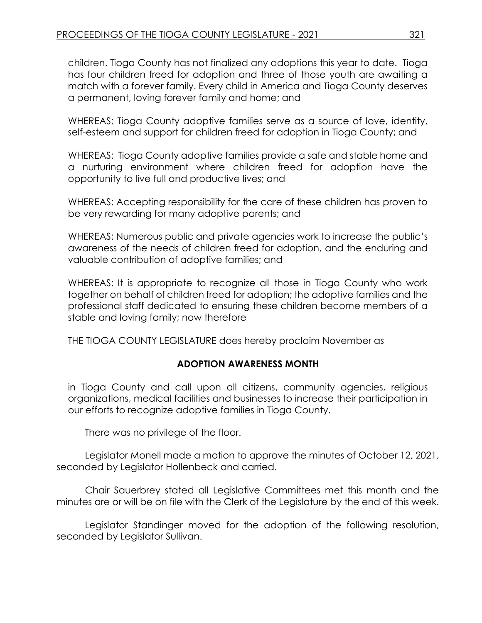children. Tioga County has not finalized any adoptions this year to date. Tioga has four children freed for adoption and three of those youth are awaiting a match with a forever family. Every child in America and Tioga County deserves a permanent, loving forever family and home; and

WHEREAS: Tioga County adoptive families serve as a source of love, identity, self-esteem and support for children freed for adoption in Tioga County; and

WHEREAS: Tioga County adoptive families provide a safe and stable home and a nurturing environment where children freed for adoption have the opportunity to live full and productive lives; and

WHEREAS: Accepting responsibility for the care of these children has proven to be very rewarding for many adoptive parents; and

WHEREAS: Numerous public and private agencies work to increase the public's awareness of the needs of children freed for adoption, and the enduring and valuable contribution of adoptive families; and

WHEREAS: It is appropriate to recognize all those in Tioga County who work together on behalf of children freed for adoption; the adoptive families and the professional staff dedicated to ensuring these children become members of a stable and loving family; now therefore

THE TIOGA COUNTY LEGISLATURE does hereby proclaim November as

# **ADOPTION AWARENESS MONTH**

in Tioga County and call upon all citizens, community agencies, religious organizations, medical facilities and businesses to increase their participation in our efforts to recognize adoptive families in Tioga County.

There was no privilege of the floor.

Legislator Monell made a motion to approve the minutes of October 12, 2021, seconded by Legislator Hollenbeck and carried.

Chair Sauerbrey stated all Legislative Committees met this month and the minutes are or will be on file with the Clerk of the Legislature by the end of this week.

Legislator Standinger moved for the adoption of the following resolution, seconded by Legislator Sullivan.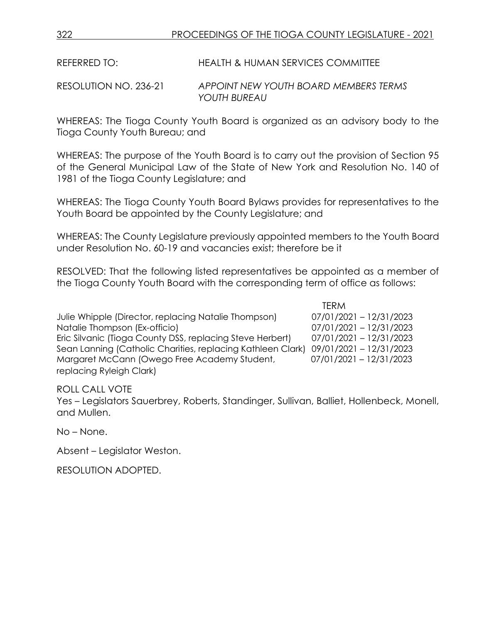REFERRED TO: HEALTH & HUMAN SERVICES COMMITTEE

RESOLUTION NO. 236-21 *APPOINT NEW YOUTH BOARD MEMBERS TERMS YOUTH BUREAU*

WHEREAS: The Tioga County Youth Board is organized as an advisory body to the Tioga County Youth Bureau; and

WHEREAS: The purpose of the Youth Board is to carry out the provision of Section 95 of the General Municipal Law of the State of New York and Resolution No. 140 of 1981 of the Tioga County Legislature; and

WHEREAS: The Tioga County Youth Board Bylaws provides for representatives to the Youth Board be appointed by the County Legislature; and

WHEREAS: The County Legislature previously appointed members to the Youth Board under Resolution No. 60-19 and vacancies exist; therefore be it

RESOLVED: That the following listed representatives be appointed as a member of the Tioga County Youth Board with the corresponding term of office as follows:

Julie Whipple (Director, replacing Natalie Thompson) Natalie Thompson (Ex-officio) Eric Silvanic (Tioga County DSS, replacing Steve Herbert) Sean Lanning (Catholic Charities, replacing Kathleen Clark) Margaret McCann (Owego Free Academy Student, replacing Ryleigh Clark)

| IFRM                    |  |  |
|-------------------------|--|--|
| 07/01/2021 - 12/31/2023 |  |  |
| 07/01/2021 - 12/31/2023 |  |  |
| 07/01/2021 - 12/31/2023 |  |  |
| 09/01/2021 - 12/31/2023 |  |  |
| 07/01/2021 - 12/31/2023 |  |  |

 $\frac{1}{1}$ 

ROLL CALL VOTE

Yes – Legislators Sauerbrey, Roberts, Standinger, Sullivan, Balliet, Hollenbeck, Monell, and Mullen.

No – None.

Absent – Legislator Weston.

RESOLUTION ADOPTED.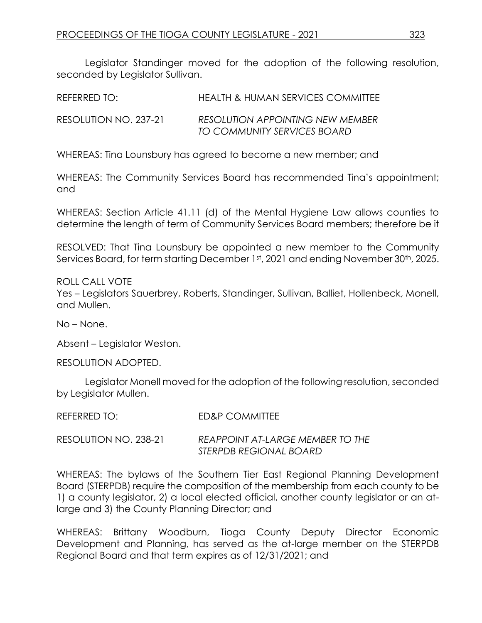Legislator Standinger moved for the adoption of the following resolution, seconded by Legislator Sullivan.

| REFERRED TO:          | HEALTH & HUMAN SERVICES COMMITTEE                                      |
|-----------------------|------------------------------------------------------------------------|
| RESOLUTION NO. 237-21 | <b>RESOLUTION APPOINTING NEW MEMBER</b><br>TO COMMUNITY SERVICES BOARD |

WHEREAS: Tina Lounsbury has agreed to become a new member; and

WHEREAS: The Community Services Board has recommended Tina's appointment; and

WHEREAS: Section Article 41.11 (d) of the Mental Hygiene Law allows counties to determine the length of term of Community Services Board members; therefore be it

RESOLVED: That Tina Lounsbury be appointed a new member to the Community Services Board, for term starting December 1st, 2021 and ending November 30<sup>th</sup>, 2025.

ROLL CALL VOTE Yes – Legislators Sauerbrey, Roberts, Standinger, Sullivan, Balliet, Hollenbeck, Monell, and Mullen.

No – None.

Absent – Legislator Weston.

RESOLUTION ADOPTED.

Legislator Monell moved for the adoption of the following resolution, seconded by Legislator Mullen.

| REFERRED TO: | <b>ED&amp;P COMMITTEE</b> |
|--------------|---------------------------|
|              |                           |

RESOLUTION NO. 238-21 *REAPPOINT AT-LARGE MEMBER TO THE STERPDB REGIONAL BOARD*

WHEREAS: The bylaws of the Southern Tier East Regional Planning Development Board (STERPDB) require the composition of the membership from each county to be 1) a county legislator, 2) a local elected official, another county legislator or an atlarge and 3) the County Planning Director; and

WHEREAS: Brittany Woodburn, Tioga County Deputy Director Economic Development and Planning, has served as the at-large member on the STERPDB Regional Board and that term expires as of 12/31/2021; and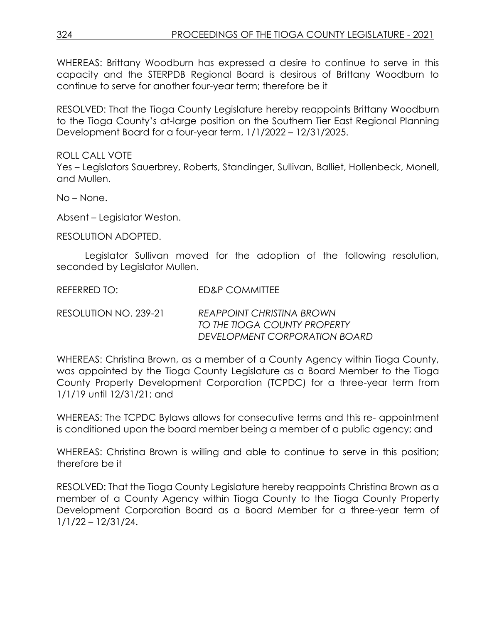WHEREAS: Brittany Woodburn has expressed a desire to continue to serve in this capacity and the STERPDB Regional Board is desirous of Brittany Woodburn to continue to serve for another four-year term; therefore be it

RESOLVED: That the Tioga County Legislature hereby reappoints Brittany Woodburn to the Tioga County's at-large position on the Southern Tier East Regional Planning Development Board for a four-year term, 1/1/2022 – 12/31/2025.

ROLL CALL VOTE Yes – Legislators Sauerbrey, Roberts, Standinger, Sullivan, Balliet, Hollenbeck, Monell, and Mullen.

No – None.

Absent – Legislator Weston.

RESOLUTION ADOPTED.

Legislator Sullivan moved for the adoption of the following resolution, seconded by Legislator Mullen.

REFERRED TO: ED&P COMMITTEE

RESOLUTION NO. 239-21 *REAPPOINT CHRISTINA BROWN TO THE TIOGA COUNTY PROPERTY DEVELOPMENT CORPORATION BOARD*

WHEREAS: Christina Brown, as a member of a County Agency within Tioga County, was appointed by the Tioga County Legislature as a Board Member to the Tioga County Property Development Corporation (TCPDC) for a three-year term from 1/1/19 until 12/31/21; and

WHEREAS: The TCPDC Bylaws allows for consecutive terms and this re- appointment is conditioned upon the board member being a member of a public agency; and

WHEREAS: Christina Brown is willing and able to continue to serve in this position; therefore be it

RESOLVED: That the Tioga County Legislature hereby reappoints Christina Brown as a member of a County Agency within Tioga County to the Tioga County Property Development Corporation Board as a Board Member for a three-year term of 1/1/22 – 12/31/24.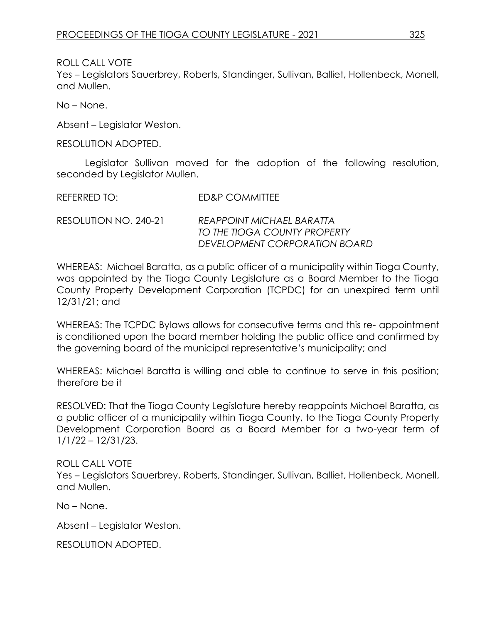ROLL CALL VOTE

Yes – Legislators Sauerbrey, Roberts, Standinger, Sullivan, Balliet, Hollenbeck, Monell, and Mullen.

No – None.

Absent – Legislator Weston.

RESOLUTION ADOPTED.

Legislator Sullivan moved for the adoption of the following resolution, seconded by Legislator Mullen.

| REFERRED TO:          | ED&P COMMITTEE                                                                             |
|-----------------------|--------------------------------------------------------------------------------------------|
| RESOLUTION NO. 240-21 | REAPPOINT MICHAEL BARATTA<br>TO THE TIOGA COUNTY PROPERTY<br>DEVELOPMENT CORPORATION BOARD |

WHEREAS: Michael Baratta, as a public officer of a municipality within Tioga County, was appointed by the Tioga County Legislature as a Board Member to the Tioga County Property Development Corporation (TCPDC) for an unexpired term until 12/31/21; and

WHEREAS: The TCPDC Bylaws allows for consecutive terms and this re- appointment is conditioned upon the board member holding the public office and confirmed by the governing board of the municipal representative's municipality; and

WHEREAS: Michael Baratta is willing and able to continue to serve in this position; therefore be it

RESOLVED: That the Tioga County Legislature hereby reappoints Michael Baratta, as a public officer of a municipality within Tioga County, to the Tioga County Property Development Corporation Board as a Board Member for a two-year term of 1/1/22 – 12/31/23.

# ROLL CALL VOTE

Yes – Legislators Sauerbrey, Roberts, Standinger, Sullivan, Balliet, Hollenbeck, Monell, and Mullen.

No – None.

Absent – Legislator Weston.

RESOLUTION ADOPTED.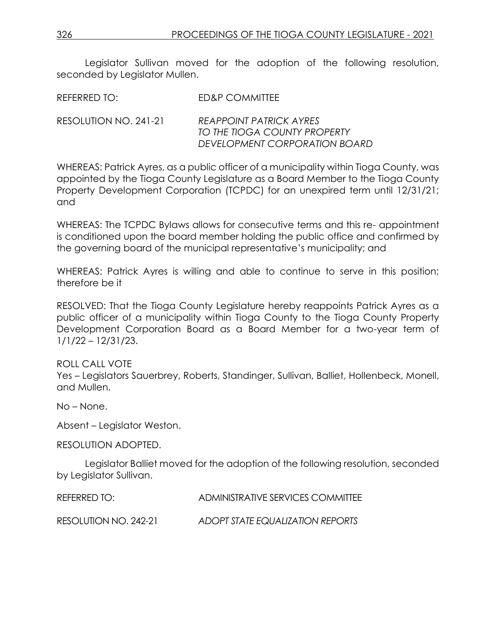Legislator Sullivan moved for the adoption of the following resolution, seconded by Legislator Mullen.

REFERRED TO: FD&P COMMITTEE

RESOLUTION NO. 241-21 *REAPPOINT PATRICK AYRES TO THE TIOGA COUNTY PROPERTY DEVELOPMENT CORPORATION BOARD*

WHEREAS: Patrick Ayres, as a public officer of a municipality within Tioga County, was appointed by the Tioga County Legislature as a Board Member to the Tioga County Property Development Corporation (TCPDC) for an unexpired term until 12/31/21; and

WHEREAS: The TCPDC Bylaws allows for consecutive terms and this re- appointment is conditioned upon the board member holding the public office and confirmed by the governing board of the municipal representative's municipality; and

WHEREAS: Patrick Ayres is willing and able to continue to serve in this position; therefore be it

RESOLVED: That the Tioga County Legislature hereby reappoints Patrick Ayres as a public officer of a municipality within Tioga County to the Tioga County Property Development Corporation Board as a Board Member for a two-year term of 1/1/22 – 12/31/23.

ROLL CALL VOTE

Yes – Legislators Sauerbrey, Roberts, Standinger, Sullivan, Balliet, Hollenbeck, Monell, and Mullen.

No – None.

Absent – Legislator Weston.

RESOLUTION ADOPTED.

Legislator Balliet moved for the adoption of the following resolution, seconded by Legislator Sullivan.

| REFERRED TO:          | ADMINISTRATIVE SERVICES COMMITTEE |
|-----------------------|-----------------------------------|
| RESOLUTION NO. 242-21 | ADOPT STATE EQUALIZATION REPORTS  |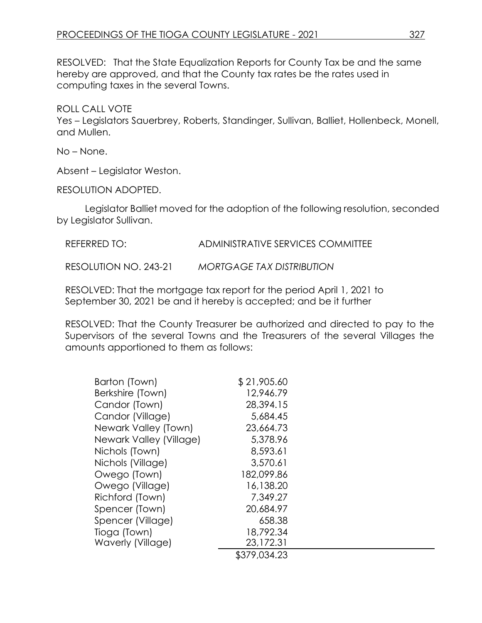RESOLVED: That the State Equalization Reports for County Tax be and the same hereby are approved, and that the County tax rates be the rates used in computing taxes in the several Towns.

ROLL CALL VOTE

Yes – Legislators Sauerbrey, Roberts, Standinger, Sullivan, Balliet, Hollenbeck, Monell, and Mullen.

No – None.

Absent – Legislator Weston.

RESOLUTION ADOPTED.

Legislator Balliet moved for the adoption of the following resolution, seconded by Legislator Sullivan.

REFERRED TO: ADMINISTRATIVE SERVICES COMMITTEE

RESOLUTION NO. 243-21 *MORTGAGE TAX DISTRIBUTION*

RESOLVED: That the mortgage tax report for the period April 1, 2021 to September 30, 2021 be and it hereby is accepted; and be it further

RESOLVED: That the County Treasurer be authorized and directed to pay to the Supervisors of the several Towns and the Treasurers of the several Villages the amounts apportioned to them as follows:

| Barton (Town)           | \$21,905.60  |
|-------------------------|--------------|
| Berkshire (Town)        | 12,946.79    |
| Candor (Town)           | 28,394.15    |
| Candor (Village)        | 5,684.45     |
| Newark Valley (Town)    | 23,664.73    |
| Newark Valley (Village) | 5,378.96     |
| Nichols (Town)          | 8,593.61     |
| Nichols (Village)       | 3,570.61     |
| Owego (Town)            | 182,099.86   |
| Owego (Village)         | 16,138.20    |
| Richford (Town)         | 7,349.27     |
| Spencer (Town)          | 20,684.97    |
| Spencer (Village)       | 658.38       |
| Tioga (Town)            | 18,792.34    |
| Waverly (Village)       | 23,172.31    |
|                         | \$379,034.23 |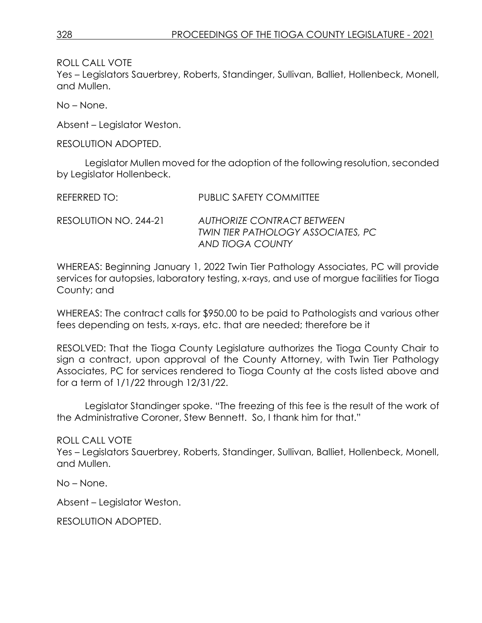ROLL CALL VOTE

Yes – Legislators Sauerbrey, Roberts, Standinger, Sullivan, Balliet, Hollenbeck, Monell, and Mullen.

No – None.

Absent – Legislator Weston.

RESOLUTION ADOPTED.

Legislator Mullen moved for the adoption of the following resolution, seconded by Legislator Hollenbeck.

| REFERRED TO:          | <b>PUBLIC SAFETY COMMITTEE</b>                                                              |
|-----------------------|---------------------------------------------------------------------------------------------|
| RESOLUTION NO. 244-21 | <b>AUTHORIZE CONTRACT BETWEEN</b><br>TWIN TIER PATHOLOGY ASSOCIATES, PC<br>AND TIOGA COUNTY |

WHEREAS: Beginning January 1, 2022 Twin Tier Pathology Associates, PC will provide services for autopsies, laboratory testing, x-rays, and use of morgue facilities for Tioga County; and

WHEREAS: The contract calls for \$950.00 to be paid to Pathologists and various other fees depending on tests, x-rays, etc. that are needed; therefore be it

RESOLVED: That the Tioga County Legislature authorizes the Tioga County Chair to sign a contract, upon approval of the County Attorney, with Twin Tier Pathology Associates, PC for services rendered to Tioga County at the costs listed above and for a term of 1/1/22 through 12/31/22.

Legislator Standinger spoke. "The freezing of this fee is the result of the work of the Administrative Coroner, Stew Bennett. So, I thank him for that."

ROLL CALL VOTE Yes – Legislators Sauerbrey, Roberts, Standinger, Sullivan, Balliet, Hollenbeck, Monell, and Mullen.

No – None.

Absent – Legislator Weston.

RESOLUTION ADOPTED.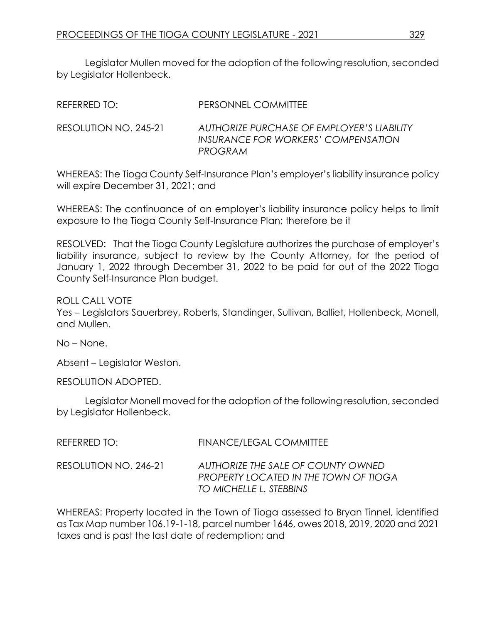Legislator Mullen moved for the adoption of the following resolution, seconded by Legislator Hollenbeck.

| REFERRED TO: I        | PERSONNEL COMMITTEE                                                                          |
|-----------------------|----------------------------------------------------------------------------------------------|
| RESOLUTION NO. 245-21 | AUTHORIZE PURCHASE OF EMPLOYER'S LIABILITY<br>INSURANCE FOR WORKERS' COMPENSATION<br>PROGRAM |

WHEREAS: The Tioga County Self-Insurance Plan's employer's liability insurance policy will expire December 31, 2021; and

WHEREAS: The continuance of an employer's liability insurance policy helps to limit exposure to the Tioga County Self-Insurance Plan; therefore be it

RESOLVED: That the Tioga County Legislature authorizes the purchase of employer's liability insurance, subject to review by the County Attorney, for the period of January 1, 2022 through December 31, 2022 to be paid for out of the 2022 Tioga County Self-Insurance Plan budget.

ROLL CALL VOTE Yes – Legislators Sauerbrey, Roberts, Standinger, Sullivan, Balliet, Hollenbeck, Monell, and Mullen.

No – None.

Absent – Legislator Weston.

RESOLUTION ADOPTED.

Legislator Monell moved for the adoption of the following resolution, seconded by Legislator Hollenbeck.

| REFERRED TO:          | <b>FINANCE/LEGAL COMMITTEE</b>                                                                                |
|-----------------------|---------------------------------------------------------------------------------------------------------------|
| RESOLUTION NO. 246-21 | AUTHORIZE THE SALE OF COUNTY OWNED<br><b>PROPERTY LOCATED IN THE TOWN OF TIOGA</b><br>TO MICHELLE L. STEBBINS |

WHEREAS: Property located in the Town of Tioga assessed to Bryan Tinnel, identified as Tax Map number 106.19-1-18, parcel number 1646, owes 2018, 2019, 2020 and 2021 taxes and is past the last date of redemption; and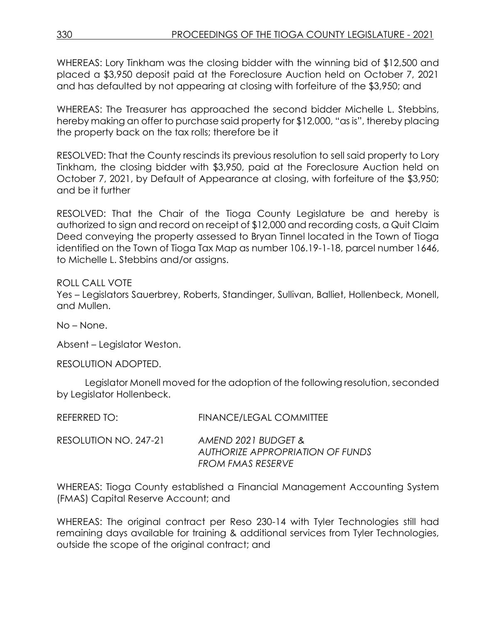WHEREAS: Lory Tinkham was the closing bidder with the winning bid of \$12,500 and placed a \$3,950 deposit paid at the Foreclosure Auction held on October 7, 2021 and has defaulted by not appearing at closing with forfeiture of the \$3,950; and

WHEREAS: The Treasurer has approached the second bidder Michelle L. Stebbins, hereby making an offer to purchase said property for \$12,000, "as is", thereby placing the property back on the tax rolls; therefore be it

RESOLVED: That the County rescinds its previous resolution to sell said property to Lory Tinkham, the closing bidder with \$3,950, paid at the Foreclosure Auction held on October 7, 2021, by Default of Appearance at closing, with forfeiture of the \$3,950; and be it further

RESOLVED: That the Chair of the Tioga County Legislature be and hereby is authorized to sign and record on receipt of \$12,000 and recording costs, a Quit Claim Deed conveying the property assessed to Bryan Tinnel located in the Town of Tioga identified on the Town of Tioga Tax Map as number 106.19-1-18, parcel number 1646, to Michelle L. Stebbins and/or assigns.

ROLL CALL VOTE

Yes – Legislators Sauerbrey, Roberts, Standinger, Sullivan, Balliet, Hollenbeck, Monell, and Mullen.

No – None.

Absent – Legislator Weston.

RESOLUTION ADOPTED.

Legislator Monell moved for the adoption of the following resolution, seconded by Legislator Hollenbeck.

| RESOLUTION NO. 247-21<br>AMEND 2021 BUDGET & | INLI LINNLL IV. | <b>TH V N YULL LLUZ \L_UUZIVIIIIILL</b> |
|----------------------------------------------|-----------------|-----------------------------------------|
| FROM FMAS RESERVE                            |                 | AUTHORIZE APPROPRIATION OF FUNDS        |

REFERRED TO: FINANCE/LEGAL COMMITTEE

WHEREAS: Tioga County established a Financial Management Accounting System (FMAS) Capital Reserve Account; and

WHEREAS: The original contract per Reso 230-14 with Tyler Technologies still had remaining days available for training & additional services from Tyler Technologies, outside the scope of the original contract; and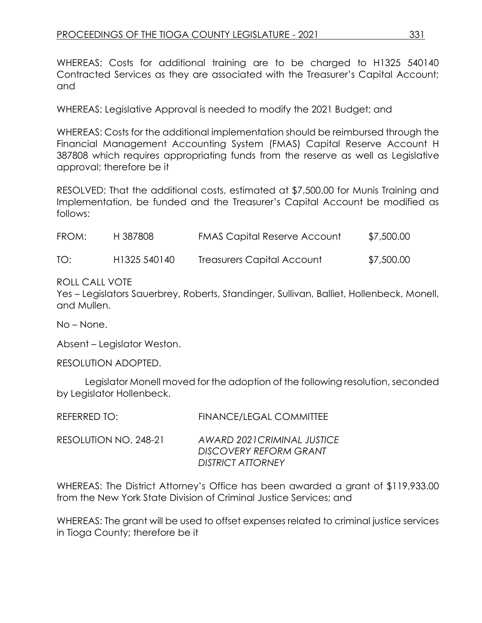WHEREAS: Costs for additional training are to be charged to H1325 540140 Contracted Services as they are associated with the Treasurer's Capital Account; and

WHEREAS: Legislative Approval is needed to modify the 2021 Budget; and

WHEREAS: Costs for the additional implementation should be reimbursed through the Financial Management Accounting System (FMAS) Capital Reserve Account H 387808 which requires appropriating funds from the reserve as well as Legislative approval; therefore be it

RESOLVED: That the additional costs, estimated at \$7,500.00 for Munis Training and Implementation, be funded and the Treasurer's Capital Account be modified as follows:

| FROM: | H 387808                 | <b>FMAS Capital Reserve Account</b> | \$7,500.00 |
|-------|--------------------------|-------------------------------------|------------|
| TO:   | H <sub>1325</sub> 540140 | Treasurers Capital Account          | \$7,500.00 |

### ROLL CALL VOTE

Yes – Legislators Sauerbrey, Roberts, Standinger, Sullivan, Balliet, Hollenbeck, Monell, and Mullen.

No – None.

Absent – Legislator Weston.

RESOLUTION ADOPTED.

Legislator Monell moved for the adoption of the following resolution, seconded by Legislator Hollenbeck.

|                       | <del>▏▎▎</del> ▚▎░▎░▚▀ <i>▎▙▙▀▞</i> ▗▙▕▀▀▛▞▏▓▓▏▏▏▏    |
|-----------------------|-------------------------------------------------------|
| RESOLUTION NO. 248-21 | AWARD 2021 CRIMINAL JUSTICE<br>DISCOVERY REFORM GRANT |
|                       | DISTRICT ATTORNEY                                     |

REFERRED TO: FINANCE/LEGAL COMMITTEE

WHEREAS: The District Attorney's Office has been awarded a grant of \$119,933.00 from the New York State Division of Criminal Justice Services; and

WHEREAS: The grant will be used to offset expenses related to criminal justice services in Tioga County; therefore be it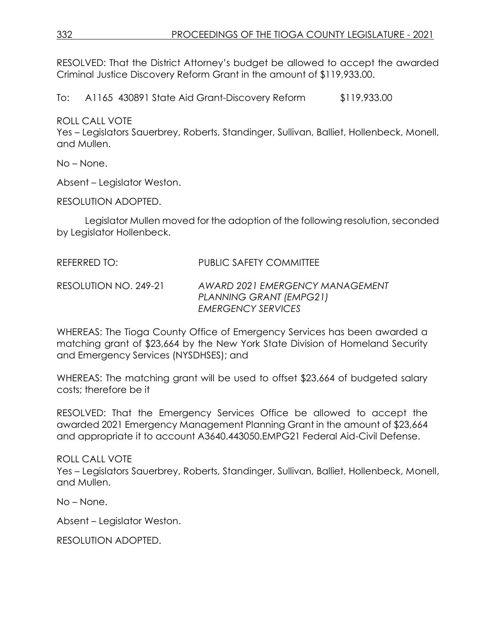RESOLVED: That the District Attorney's budget be allowed to accept the awarded Criminal Justice Discovery Reform Grant in the amount of \$119,933.00.

To: A1165 430891 State Aid Grant-Discovery Reform \$119,933.00

ROLL CALL VOTE

Yes – Legislators Sauerbrey, Roberts, Standinger, Sullivan, Balliet, Hollenbeck, Monell, and Mullen.

No – None.

Absent – Legislator Weston.

RESOLUTION ADOPTED.

Legislator Mullen moved for the adoption of the following resolution, seconded by Legislator Hollenbeck.

REFERRED TO: PUBLIC SAFETY COMMITTEE

RESOLUTION NO. 249-21 *AWARD 2021 EMERGENCY MANAGEMENT PLANNING GRANT (EMPG21) EMERGENCY SERVICES*

WHEREAS: The Tioga County Office of Emergency Services has been awarded a matching grant of \$23,664 by the New York State Division of Homeland Security and Emergency Services (NYSDHSES); and

WHEREAS: The matching grant will be used to offset \$23,664 of budgeted salary costs; therefore be it

RESOLVED: That the Emergency Services Office be allowed to accept the awarded 2021 Emergency Management Planning Grant in the amount of \$23,664 and appropriate it to account A3640.443050.EMPG21 Federal Aid-Civil Defense.

ROLL CALL VOTE

Yes – Legislators Sauerbrey, Roberts, Standinger, Sullivan, Balliet, Hollenbeck, Monell, and Mullen.

No – None.

Absent – Legislator Weston.

RESOLUTION ADOPTED.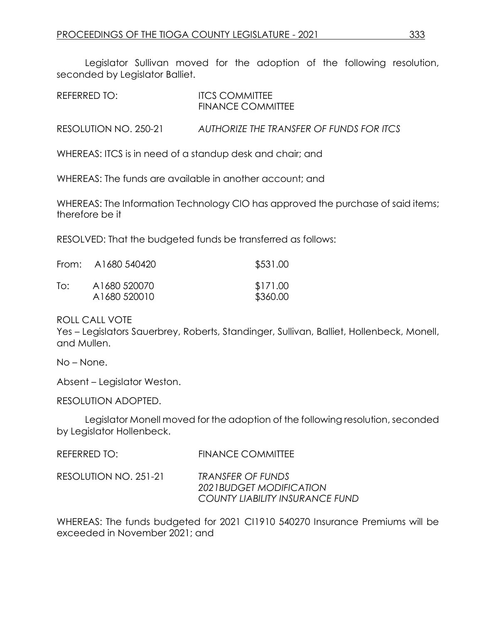Legislator Sullivan moved for the adoption of the following resolution, seconded by Legislator Balliet.

| REFERRED TO: | <b>ITCS COMMITTEE</b><br><b>FINANCE COMMITTEE</b> |
|--------------|---------------------------------------------------|
|              |                                                   |

RESOLUTION NO. 250-21 *AUTHORIZE THE TRANSFER OF FUNDS FOR ITCS*

WHEREAS: ITCS is in need of a standup desk and chair; and

WHEREAS: The funds are available in another account; and

WHEREAS: The Information Technology CIO has approved the purchase of said items; therefore be it

RESOLVED: That the budgeted funds be transferred as follows:

|     | From: A1680 540420           | \$531.00             |
|-----|------------------------------|----------------------|
| To: | A1680 520070<br>A1680 520010 | \$171.00<br>\$360.00 |

#### ROLL CALL VOTE

Yes – Legislators Sauerbrey, Roberts, Standinger, Sullivan, Balliet, Hollenbeck, Monell, and Mullen.

No – None.

Absent – Legislator Weston.

RESOLUTION ADOPTED.

Legislator Monell moved for the adoption of the following resolution, seconded by Legislator Hollenbeck.

| REFERRED TO: |  |  |  | <b>FINANCE COMMITTEE</b> |  |  |
|--------------|--|--|--|--------------------------|--|--|
|              |  |  |  |                          |  |  |

RESOLUTION NO. 251-21 *TRANSFER OF FUNDS 2021BUDGET MODIFICATION COUNTY LIABILITY INSURANCE FUND*

WHEREAS: The funds budgeted for 2021 CI1910 540270 Insurance Premiums will be exceeded in November 2021; and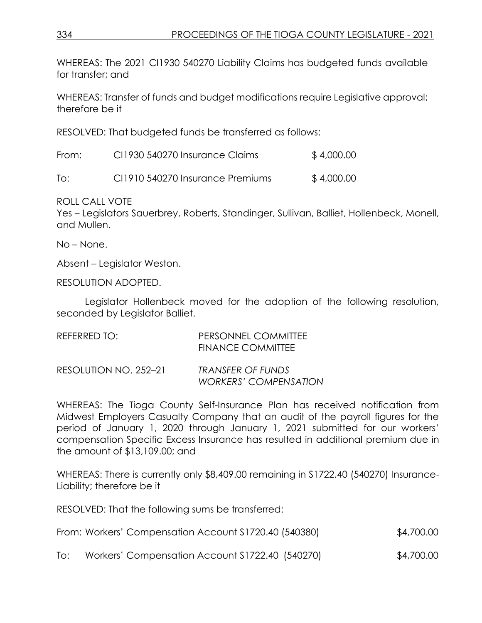WHEREAS: The 2021 CI1930 540270 Liability Claims has budgeted funds available for transfer; and

WHEREAS: Transfer of funds and budget modifications require Legislative approval; therefore be it

RESOLVED: That budgeted funds be transferred as follows:

| From: | CI1930 540270 Insurance Claims   | \$4,000.00 |
|-------|----------------------------------|------------|
| To:   | CI1910 540270 Insurance Premiums | \$4,000.00 |

ROLL CALL VOTE

Yes – Legislators Sauerbrey, Roberts, Standinger, Sullivan, Balliet, Hollenbeck, Monell, and Mullen.

No – None.

Absent – Legislator Weston.

RESOLUTION ADOPTED.

Legislator Hollenbeck moved for the adoption of the following resolution, seconded by Legislator Balliet.

| REFERRED TO:          | PERSONNEL COMMITTEE<br><b>FINANCE COMMITTEE</b> |
|-----------------------|-------------------------------------------------|
| RESOLUTION NO. 252-21 | TRANSFER OF FUNDS                               |

*WORKERS' COMPENSATION* WHEREAS: The Tioga County Self-Insurance Plan has received notification from Midwest Employers Casualty Company that an audit of the payroll figures for the

period of January 1, 2020 through January 1, 2021 submitted for our workers' compensation Specific Excess Insurance has resulted in additional premium due in the amount of \$13,109.00; and

WHEREAS: There is currently only \$8,409.00 remaining in S1722.40 (540270) Insurance-Liability; therefore be it

RESOLVED: That the following sums be transferred:

| From: Workers' Compensation Account \$1720.40 (540380) | \$4,700.00 |
|--------------------------------------------------------|------------|
|--------------------------------------------------------|------------|

To: Workers' Compensation Account S1722.40 (540270) \$4,700.00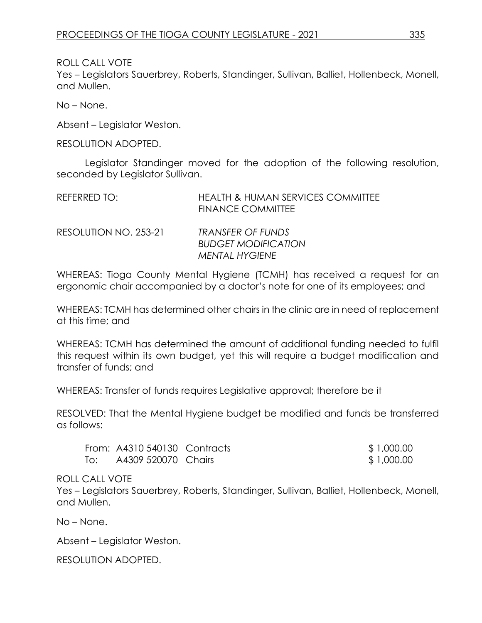ROLL CALL VOTE

Yes – Legislators Sauerbrey, Roberts, Standinger, Sullivan, Balliet, Hollenbeck, Monell, and Mullen.

No – None.

Absent – Legislator Weston.

RESOLUTION ADOPTED.

Legislator Standinger moved for the adoption of the following resolution, seconded by Legislator Sullivan.

| REFERRED TO:          | <b>HEALTH &amp; HUMAN SERVICES COMMITTEE</b><br><b>FINANCE COMMITTEE</b> |
|-----------------------|--------------------------------------------------------------------------|
| RESOLUTION NO. 253-21 | TRANSFER OF FUNDS<br><b>BUDGET MODIFICATION</b>                          |
|                       |                                                                          |
|                       | <b>MENTAL HYGIENE</b>                                                    |

WHEREAS: Tioga County Mental Hygiene (TCMH) has received a request for an ergonomic chair accompanied by a doctor's note for one of its employees; and

WHEREAS: TCMH has determined other chairs in the clinic are in need of replacement at this time; and

WHEREAS: TCMH has determined the amount of additional funding needed to fulfil this request within its own budget, yet this will require a budget modification and transfer of funds; and

WHEREAS: Transfer of funds requires Legislative approval; therefore be it

RESOLVED: That the Mental Hygiene budget be modified and funds be transferred as follows:

|     | From: A4310 540130 Contracts | \$1,000.00 |
|-----|------------------------------|------------|
| To: | A4309 520070 Chairs          | \$1,000.00 |

#### ROLL CALL VOTE

Yes – Legislators Sauerbrey, Roberts, Standinger, Sullivan, Balliet, Hollenbeck, Monell, and Mullen.

No – None.

Absent – Legislator Weston.

RESOLUTION ADOPTED.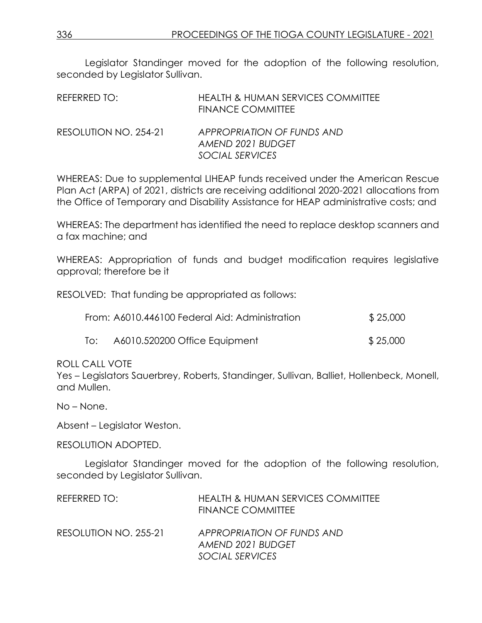Legislator Standinger moved for the adoption of the following resolution, seconded by Legislator Sullivan.

| REFERRED TO:          | <b>HEALTH &amp; HUMAN SERVICES COMMITTEE</b><br>FINANCE COMMITTEE  |
|-----------------------|--------------------------------------------------------------------|
| RESOLUTION NO. 254-21 | APPROPRIATION OF FUNDS AND<br>AMEND 2021 BUDGET<br>SOCIAL SERVICES |

WHEREAS: Due to supplemental LIHEAP funds received under the American Rescue Plan Act (ARPA) of 2021, districts are receiving additional 2020-2021 allocations from the Office of Temporary and Disability Assistance for HEAP administrative costs; and

WHEREAS: The department has identified the need to replace desktop scanners and a fax machine; and

WHEREAS: Appropriation of funds and budget modification requires legislative approval; therefore be it

RESOLVED: That funding be appropriated as follows:

| From: A6010.446100 Federal Aid: Administration | \$25,000                      |          |
|------------------------------------------------|-------------------------------|----------|
| To:                                            | A6010.520200 Office Equipment | \$25,000 |

ROLL CALL VOTE

Yes – Legislators Sauerbrey, Roberts, Standinger, Sullivan, Balliet, Hollenbeck, Monell, and Mullen.

No – None.

Absent – Legislator Weston.

RESOLUTION ADOPTED.

Legislator Standinger moved for the adoption of the following resolution, seconded by Legislator Sullivan.

| <b>HEALTH &amp; HUMAN SERVICES COMMITTEE</b><br><b>FINANCE COMMITTEE</b> |
|--------------------------------------------------------------------------|
| APPROPRIATION OF FUNDS AND<br>AMEND 2021 BUDGET<br>SOCIAL SERVICES       |
|                                                                          |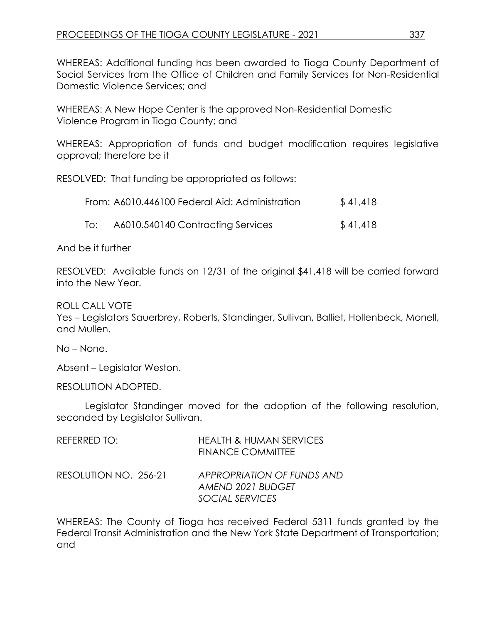WHEREAS: Additional funding has been awarded to Tioga County Department of Social Services from the Office of Children and Family Services for Non-Residential Domestic Violence Services; and

WHEREAS: A New Hope Center is the approved Non-Residential Domestic Violence Program in Tioga County; and

WHEREAS: Appropriation of funds and budget modification requires legislative approval; therefore be it

RESOLVED: That funding be appropriated as follows:

|     | From: A6010.446100 Federal Aid: Administration | \$41,418 |
|-----|------------------------------------------------|----------|
| To: | A6010.540140 Contracting Services              | \$41,418 |

And be it further

RESOLVED: Available funds on 12/31 of the original \$41,418 will be carried forward into the New Year.

ROLL CALL VOTE

Yes – Legislators Sauerbrey, Roberts, Standinger, Sullivan, Balliet, Hollenbeck, Monell, and Mullen.

No – None.

Absent – Legislator Weston.

RESOLUTION ADOPTED.

Legislator Standinger moved for the adoption of the following resolution, seconded by Legislator Sullivan.

| REFERRED TO:          | <b>HEALTH &amp; HUMAN SERVICES</b><br><b>FINANCE COMMITTEE</b>     |
|-----------------------|--------------------------------------------------------------------|
| RESOLUTION NO. 256-21 | APPROPRIATION OF FUNDS AND<br>AMEND 2021 BUDGET<br>SOCIAL SERVICES |

WHEREAS: The County of Tioga has received Federal 5311 funds granted by the Federal Transit Administration and the New York State Department of Transportation; and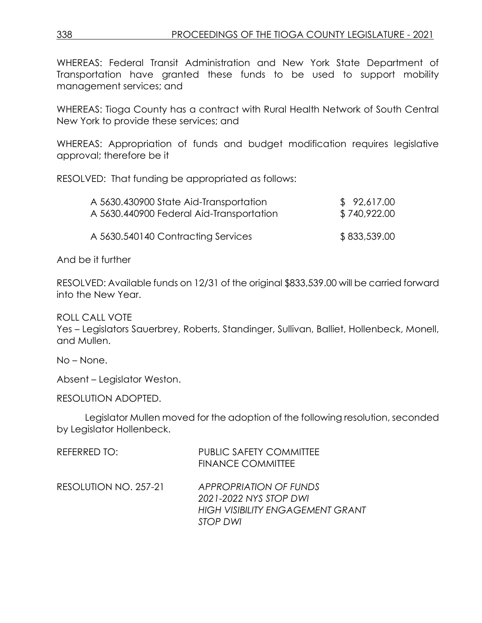WHEREAS: Federal Transit Administration and New York State Department of Transportation have granted these funds to be used to support mobility management services; and

WHEREAS: Tioga County has a contract with Rural Health Network of South Central New York to provide these services; and

WHEREAS: Appropriation of funds and budget modification requires legislative approval; therefore be it

RESOLVED: That funding be appropriated as follows:

| A 5630.430900 State Aid-Transportation   | \$92,617.00  |
|------------------------------------------|--------------|
| A 5630.440900 Federal Aid-Transportation | \$740,922.00 |
| A 5630.540140 Contracting Services       | \$833,539.00 |

And be it further

RESOLVED: Available funds on 12/31 of the original \$833,539.00 will be carried forward into the New Year.

ROLL CALL VOTE

Yes – Legislators Sauerbrey, Roberts, Standinger, Sullivan, Balliet, Hollenbeck, Monell, and Mullen.

No – None.

Absent – Legislator Weston.

RESOLUTION ADOPTED.

Legislator Mullen moved for the adoption of the following resolution, seconded by Legislator Hollenbeck.

| REFERRED TO:          | <b>PUBLIC SAFETY COMMITTEE</b><br><b>FINANCE COMMITTEE</b>                                                            |
|-----------------------|-----------------------------------------------------------------------------------------------------------------------|
| RESOLUTION NO. 257-21 | <b>APPROPRIATION OF FUNDS</b><br>2021-2022 NYS STOP DWI<br><b>HIGH VISIBILITY ENGAGEMENT GRANT</b><br><b>STOP DWI</b> |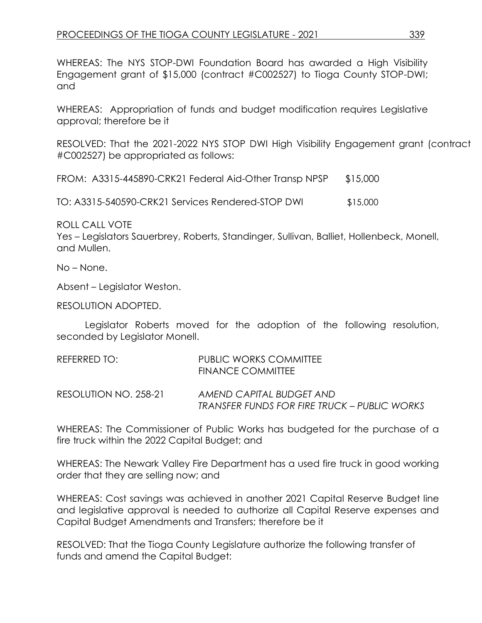WHEREAS: The NYS STOP-DWI Foundation Board has awarded a High Visibility Engagement grant of \$15,000 (contract #C002527) to Tioga County STOP-DWI; and

WHEREAS: Appropriation of funds and budget modification requires Legislative approval; therefore be it

RESOLVED: That the 2021-2022 NYS STOP DWI High Visibility Engagement grant (contract #C002527) be appropriated as follows:

| FROM: A3315-445890-CRK21 Federal Aid-Other Transp NPSP |  | \$15,000 |
|--------------------------------------------------------|--|----------|
|                                                        |  |          |

TO: A3315-540590-CRK21 Services Rendered-STOP DWI \$15,000

ROLL CALL VOTE

Yes – Legislators Sauerbrey, Roberts, Standinger, Sullivan, Balliet, Hollenbeck, Monell, and Mullen.

No – None.

Absent – Legislator Weston.

RESOLUTION ADOPTED.

Legislator Roberts moved for the adoption of the following resolution, seconded by Legislator Monell.

| REFERRED TO:          | PUBLIC WORKS COMMITTEE<br>FINANCE COMMITTEE                              |
|-----------------------|--------------------------------------------------------------------------|
| RESOLUTION NO. 258-21 | AMEND CAPITAL BUDGET AND<br>TRANSFER FUNDS FOR FIRE TRUCK – PUBLIC WORKS |

WHEREAS: The Commissioner of Public Works has budgeted for the purchase of a fire truck within the 2022 Capital Budget; and

WHEREAS: The Newark Valley Fire Department has a used fire truck in good working order that they are selling now; and

WHEREAS: Cost savings was achieved in another 2021 Capital Reserve Budget line and legislative approval is needed to authorize all Capital Reserve expenses and Capital Budget Amendments and Transfers; therefore be it

RESOLVED: That the Tioga County Legislature authorize the following transfer of funds and amend the Capital Budget: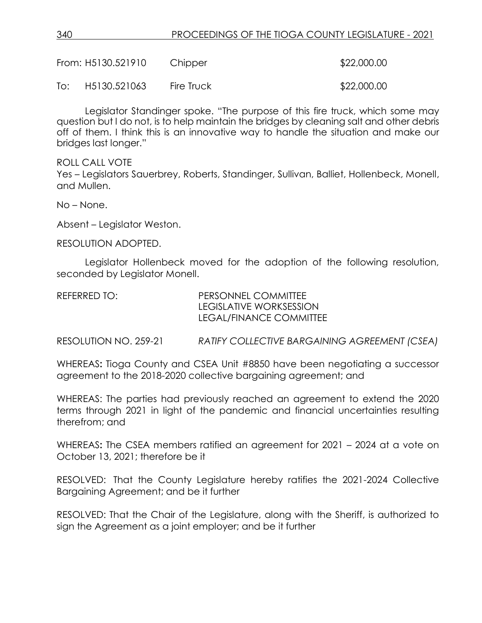|     | From: H5130.521910 | Chipper    | \$22,000.00 |
|-----|--------------------|------------|-------------|
| To: | H5130.521063       | Fire Truck | \$22,000.00 |

Legislator Standinger spoke. "The purpose of this fire truck, which some may question but I do not, is to help maintain the bridges by cleaning salt and other debris off of them. I think this is an innovative way to handle the situation and make our bridges last longer."

ROLL CALL VOTE

Yes – Legislators Sauerbrey, Roberts, Standinger, Sullivan, Balliet, Hollenbeck, Monell, and Mullen.

No – None.

Absent – Legislator Weston.

RESOLUTION ADOPTED.

Legislator Hollenbeck moved for the adoption of the following resolution, seconded by Legislator Monell.

REFERRED TO: PERSONNEL COMMITTEE

LEGISLATIVE WORKSESSION LEGAL/FINANCE COMMITTEE

RESOLUTION NO. 259-21 *RATIFY COLLECTIVE BARGAINING AGREEMENT (CSEA)*

WHEREAS**:** Tioga County and CSEA Unit #8850 have been negotiating a successor agreement to the 2018-2020 collective bargaining agreement; and

WHEREAS: The parties had previously reached an agreement to extend the 2020 terms through 2021 in light of the pandemic and financial uncertainties resulting therefrom; and

WHEREAS**:** The CSEA members ratified an agreement for 2021 – 2024 at a vote on October 13, 2021; therefore be it

RESOLVED: That the County Legislature hereby ratifies the 2021-2024 Collective Bargaining Agreement; and be it further

RESOLVED: That the Chair of the Legislature, along with the Sheriff, is authorized to sign the Agreement as a joint employer; and be it further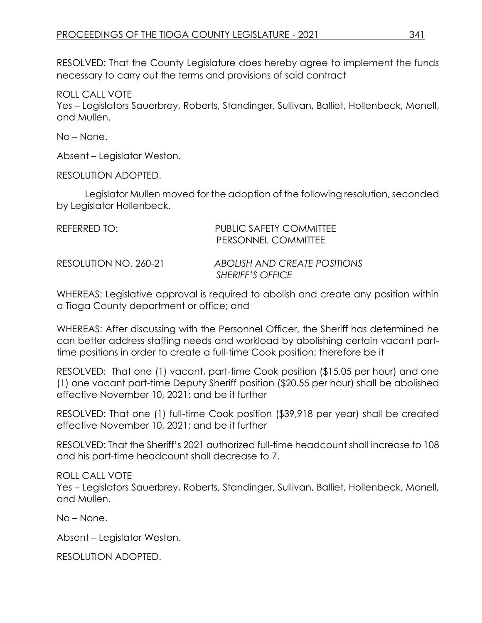RESOLVED: That the County Legislature does hereby agree to implement the funds necessary to carry out the terms and provisions of said contract

ROLL CALL VOTE

Yes – Legislators Sauerbrey, Roberts, Standinger, Sullivan, Balliet, Hollenbeck, Monell, and Mullen.

No – None.

Absent – Legislator Weston.

RESOLUTION ADOPTED.

Legislator Mullen moved for the adoption of the following resolution, seconded by Legislator Hollenbeck.

| REFERRED TO:          | <b>PUBLIC SAFETY COMMITTEE</b><br>PERSONNEL COMMITTEE   |
|-----------------------|---------------------------------------------------------|
| RESOLUTION NO. 260-21 | ABOLISH AND CREATE POSITIONS<br><b>SHERIFF'S OFFICE</b> |

WHEREAS: Legislative approval is required to abolish and create any position within a Tioga County department or office; and

WHEREAS: After discussing with the Personnel Officer, the Sheriff has determined he can better address staffing needs and workload by abolishing certain vacant parttime positions in order to create a full-time Cook position; therefore be it

RESOLVED: That one (1) vacant, part-time Cook position (\$15.05 per hour) and one (1) one vacant part-time Deputy Sheriff position (\$20.55 per hour) shall be abolished effective November 10, 2021; and be it further

RESOLVED: That one (1) full-time Cook position (\$39,918 per year) shall be created effective November 10, 2021; and be it further

RESOLVED: That the Sheriff's 2021 authorized full-time headcount shall increase to 108 and his part-time headcount shall decrease to 7.

ROLL CALL VOTE

Yes – Legislators Sauerbrey, Roberts, Standinger, Sullivan, Balliet, Hollenbeck, Monell, and Mullen.

No – None.

Absent – Legislator Weston.

RESOLUTION ADOPTED.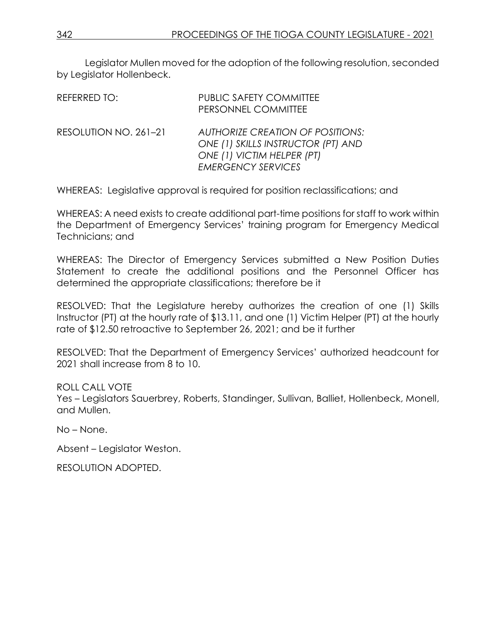Legislator Mullen moved for the adoption of the following resolution, seconded by Legislator Hollenbeck.

| REFERRED TO:          | <b>PUBLIC SAFETY COMMITTEE</b><br>PERSONNEL COMMITTEE                                                                                    |
|-----------------------|------------------------------------------------------------------------------------------------------------------------------------------|
| RESOLUTION NO. 261-21 | <b>AUTHORIZE CREATION OF POSITIONS:</b><br>ONE (1) SKILLS INSTRUCTOR (PT) AND<br>ONE (1) VICTIM HELPER (PT)<br><b>EMERGENCY SERVICES</b> |

WHEREAS: Legislative approval is required for position reclassifications; and

WHEREAS: A need exists to create additional part-time positions for staff to work within the Department of Emergency Services' training program for Emergency Medical Technicians; and

WHEREAS: The Director of Emergency Services submitted a New Position Duties Statement to create the additional positions and the Personnel Officer has determined the appropriate classifications; therefore be it

RESOLVED: That the Legislature hereby authorizes the creation of one (1) Skills Instructor (PT) at the hourly rate of \$13.11, and one (1) Victim Helper (PT) at the hourly rate of \$12.50 retroactive to September 26, 2021; and be it further

RESOLVED: That the Department of Emergency Services' authorized headcount for 2021 shall increase from 8 to 10.

ROLL CALL VOTE Yes – Legislators Sauerbrey, Roberts, Standinger, Sullivan, Balliet, Hollenbeck, Monell, and Mullen.

No – None.

Absent – Legislator Weston.

RESOLUTION ADOPTED.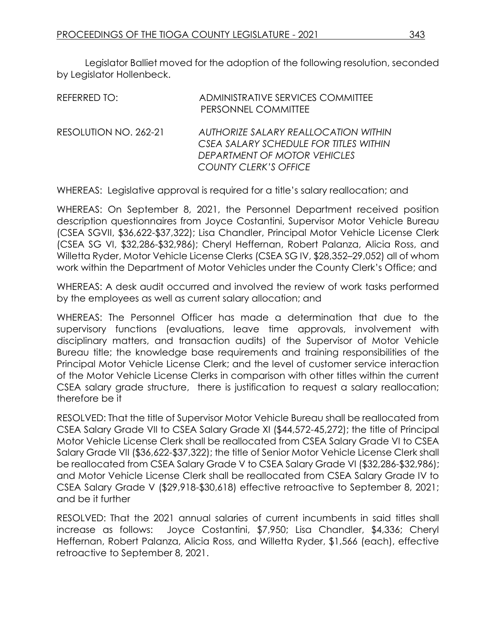Legislator Balliet moved for the adoption of the following resolution, seconded by Legislator Hollenbeck.

| REFERRED TO:          | ADMINISTRATIVE SERVICES COMMITTEE<br>PERSONNEL COMMITTEE                                                                                       |
|-----------------------|------------------------------------------------------------------------------------------------------------------------------------------------|
| RESOLUTION NO. 262-21 | AUTHORIZE SALARY REALLOCATION WITHIN<br>CSEA SALARY SCHEDULE FOR TITLES WITHIN<br>DEPARTMENT OF MOTOR VEHICLES<br><b>COUNTY CLERK'S OFFICE</b> |

WHEREAS: Legislative approval is required for a title's salary reallocation; and

WHEREAS: On September 8, 2021, the Personnel Department received position description questionnaires from Joyce Costantini, Supervisor Motor Vehicle Bureau (CSEA SGVII, \$36,622-\$37,322); Lisa Chandler, Principal Motor Vehicle License Clerk (CSEA SG VI, \$32,286-\$32,986); Cheryl Heffernan, Robert Palanza, Alicia Ross, and Willetta Ryder, Motor Vehicle License Clerks (CSEA SG IV, \$28,352–29,052) all of whom work within the Department of Motor Vehicles under the County Clerk's Office; and

WHEREAS: A desk audit occurred and involved the review of work tasks performed by the employees as well as current salary allocation; and

WHEREAS: The Personnel Officer has made a determination that due to the supervisory functions (evaluations, leave time approvals, involvement with disciplinary matters, and transaction audits) of the Supervisor of Motor Vehicle Bureau title; the knowledge base requirements and training responsibilities of the Principal Motor Vehicle License Clerk; and the level of customer service interaction of the Motor Vehicle License Clerks in comparison with other titles within the current CSEA salary grade structure, there is justification to request a salary reallocation; therefore be it

RESOLVED: That the title of Supervisor Motor Vehicle Bureau shall be reallocated from CSEA Salary Grade VII to CSEA Salary Grade XI (\$44,572-45,272); the title of Principal Motor Vehicle License Clerk shall be reallocated from CSEA Salary Grade VI to CSEA Salary Grade VII (\$36,622-\$37,322); the title of Senior Motor Vehicle License Clerk shall be reallocated from CSEA Salary Grade V to CSEA Salary Grade VI (\$32,286-\$32,986); and Motor Vehicle License Clerk shall be reallocated from CSEA Salary Grade IV to CSEA Salary Grade V (\$29,918-\$30,618) effective retroactive to September 8, 2021; and be it further

RESOLVED: That the 2021 annual salaries of current incumbents in said titles shall increase as follows: Joyce Costantini, \$7,950; Lisa Chandler, \$4,336; Cheryl Heffernan, Robert Palanza, Alicia Ross, and Willetta Ryder, \$1,566 (each), effective retroactive to September 8, 2021.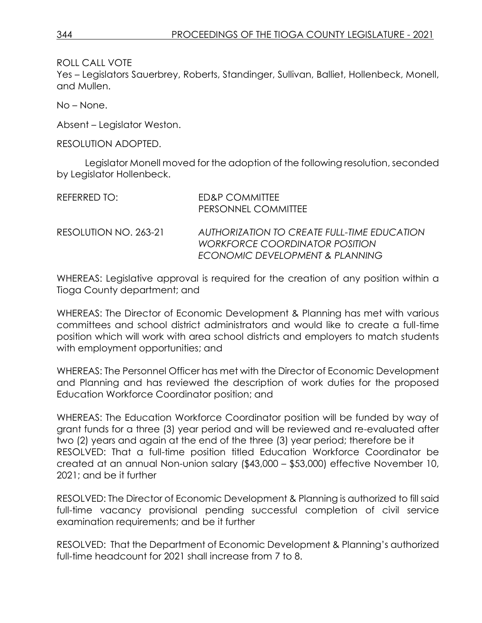ROLL CALL VOTE

Yes – Legislators Sauerbrey, Roberts, Standinger, Sullivan, Balliet, Hollenbeck, Monell, and Mullen.

No – None.

Absent – Legislator Weston.

RESOLUTION ADOPTED.

Legislator Monell moved for the adoption of the following resolution, seconded by Legislator Hollenbeck.

| REFERRED TO:          | ED&P COMMITTEE<br>PERSONNEL COMMITTEE                                                                                   |
|-----------------------|-------------------------------------------------------------------------------------------------------------------------|
| RESOLUTION NO. 263-21 | AUTHORIZATION TO CREATE FULL-TIME EDUCATION<br><b>WORKFORCE COORDINATOR POSITION</b><br>ECONOMIC DEVELOPMENT & PLANNING |

WHEREAS: Legislative approval is required for the creation of any position within a Tioga County department; and

WHEREAS: The Director of Economic Development & Planning has met with various committees and school district administrators and would like to create a full-time position which will work with area school districts and employers to match students with employment opportunities; and

WHEREAS: The Personnel Officer has met with the Director of Economic Development and Planning and has reviewed the description of work duties for the proposed Education Workforce Coordinator position; and

WHEREAS: The Education Workforce Coordinator position will be funded by way of grant funds for a three (3) year period and will be reviewed and re-evaluated after two (2) years and again at the end of the three (3) year period; therefore be it RESOLVED: That a full-time position titled Education Workforce Coordinator be created at an annual Non-union salary (\$43,000 – \$53,000) effective November 10, 2021; and be it further

RESOLVED: The Director of Economic Development & Planning is authorized to fill said full-time vacancy provisional pending successful completion of civil service examination requirements; and be it further

RESOLVED: That the Department of Economic Development & Planning's authorized full-time headcount for 2021 shall increase from 7 to 8.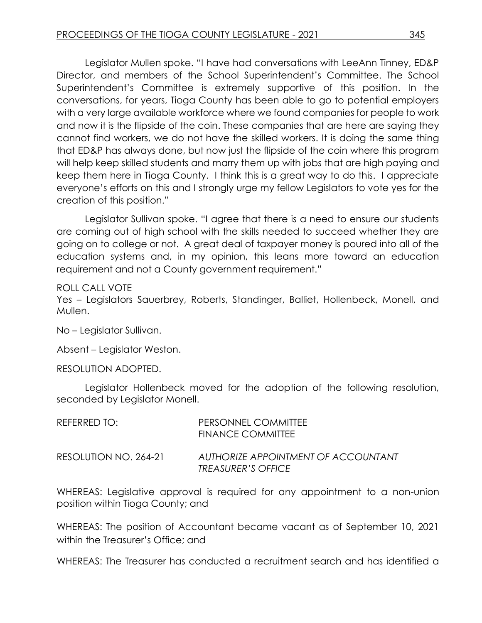Legislator Mullen spoke. "I have had conversations with LeeAnn Tinney, ED&P Director, and members of the School Superintendent's Committee. The School Superintendent's Committee is extremely supportive of this position. In the conversations, for years, Tioga County has been able to go to potential employers with a very large available workforce where we found companies for people to work and now it is the flipside of the coin. These companies that are here are saying they cannot find workers, we do not have the skilled workers. It is doing the same thing that ED&P has always done, but now just the flipside of the coin where this program will help keep skilled students and marry them up with jobs that are high paying and keep them here in Tioga County. I think this is a great way to do this. I appreciate everyone's efforts on this and I strongly urge my fellow Legislators to vote yes for the creation of this position."

Legislator Sullivan spoke. "I agree that there is a need to ensure our students are coming out of high school with the skills needed to succeed whether they are going on to college or not. A great deal of taxpayer money is poured into all of the education systems and, in my opinion, this leans more toward an education requirement and not a County government requirement."

ROLL CALL VOTE

Yes – Legislators Sauerbrey, Roberts, Standinger, Balliet, Hollenbeck, Monell, and Mullen.

No – Legislator Sullivan.

Absent – Legislator Weston.

#### RESOLUTION ADOPTED.

Legislator Hollenbeck moved for the adoption of the following resolution, seconded by Legislator Monell.

| REFERRED TO:          | PERSONNEL COMMITTEE<br><b>FINANCE COMMITTEE</b>                  |
|-----------------------|------------------------------------------------------------------|
| RESOLUTION NO. 264-21 | AUTHORIZE APPOINTMENT OF ACCOUNTANT<br><b>TREASURER'S OFFICE</b> |

WHEREAS: Legislative approval is required for any appointment to a non-union position within Tioga County; and

WHEREAS: The position of Accountant became vacant as of September 10, 2021 within the Treasurer's Office; and

WHEREAS: The Treasurer has conducted a recruitment search and has identified a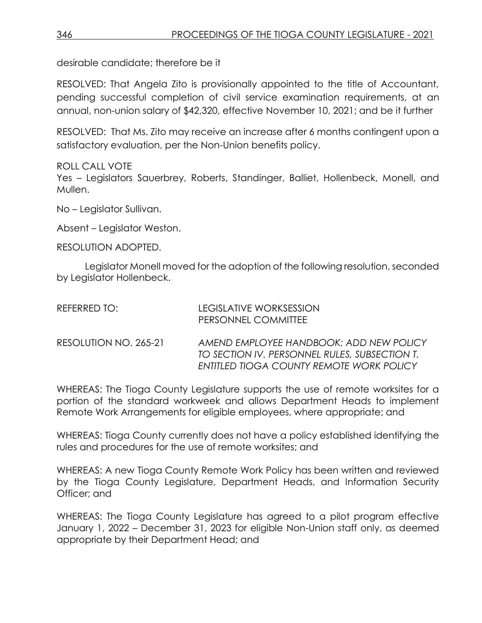desirable candidate; therefore be it

RESOLVED: That Angela Zito is provisionally appointed to the title of Accountant, pending successful completion of civil service examination requirements, at an annual, non-union salary of \$42,320, effective November 10, 2021; and be it further

RESOLVED: That Ms. Zito may receive an increase after 6 months contingent upon a satisfactory evaluation, per the Non-Union benefits policy.

ROLL CALL VOTE Yes – Legislators Sauerbrey, Roberts, Standinger, Balliet, Hollenbeck, Monell, and Mullen.

No – Legislator Sullivan.

Absent – Legislator Weston.

RESOLUTION ADOPTED.

Legislator Monell moved for the adoption of the following resolution, seconded by Legislator Hollenbeck.

| REFERRED TO:          | LEGISLATIVE WORKSESSION<br>PERSONNEL COMMITTEE                                                                                       |
|-----------------------|--------------------------------------------------------------------------------------------------------------------------------------|
| RESOLUTION NO. 265-21 | AMEND EMPLOYEE HANDBOOK: ADD NEW POLICY<br>TO SECTION IV. PERSONNEL RULES, SUBSECTION T.<br>ENTITLED TIOGA COUNTY REMOTE WORK POLICY |

WHEREAS: The Tioga County Legislature supports the use of remote worksites for a portion of the standard workweek and allows Department Heads to implement Remote Work Arrangements for eligible employees, where appropriate; and

WHEREAS: Tioga County currently does not have a policy established identifying the rules and procedures for the use of remote worksites; and

WHEREAS: A new Tioga County Remote Work Policy has been written and reviewed by the Tioga County Legislature, Department Heads, and Information Security Officer; and

WHEREAS: The Tioga County Legislature has agreed to a pilot program effective January 1, 2022 – December 31, 2023 for eligible Non-Union staff only, as deemed appropriate by their Department Head; and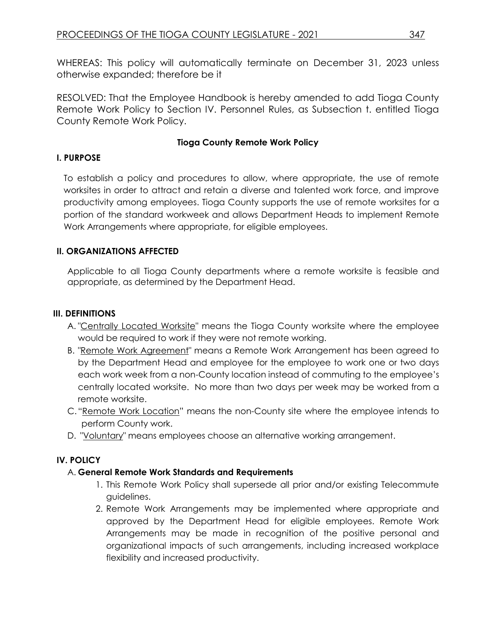WHEREAS: This policy will automatically terminate on December 31, 2023 unless otherwise expanded; therefore be it

RESOLVED: That the Employee Handbook is hereby amended to add Tioga County Remote Work Policy to Section IV. Personnel Rules, as Subsection t. entitled Tioga County Remote Work Policy.

#### **Tioga County Remote Work Policy**

### **I. PURPOSE**

To establish a policy and procedures to allow, where appropriate, the use of remote worksites in order to attract and retain a diverse and talented work force, and improve productivity among employees. Tioga County supports the use of remote worksites for a portion of the standard workweek and allows Department Heads to implement Remote Work Arrangements where appropriate, for eligible employees.

### **II. ORGANIZATIONS AFFECTED**

Applicable to all Tioga County departments where a remote worksite is feasible and appropriate, as determined by the Department Head.

# **III. DEFINITIONS**

- A. "Centrally Located Worksite" means the Tioga County worksite where the employee would be required to work if they were not remote working.
- B. "Remote Work Agreement" means a Remote Work Arrangement has been agreed to by the Department Head and employee for the employee to work one or two days each work week from a non-County location instead of commuting to the employee's centrally located worksite. No more than two days per week may be worked from a remote worksite.
- C."Remote Work Location" means the non-County site where the employee intends to perform County work.
- D. "Voluntary" means employees choose an alternative working arrangement.

# **IV. POLICY**

# A. **General Remote Work Standards and Requirements**

- 1. This Remote Work Policy shall supersede all prior and/or existing Telecommute guidelines.
- 2. Remote Work Arrangements may be implemented where appropriate and approved by the Department Head for eligible employees. Remote Work Arrangements may be made in recognition of the positive personal and organizational impacts of such arrangements, including increased workplace flexibility and increased productivity.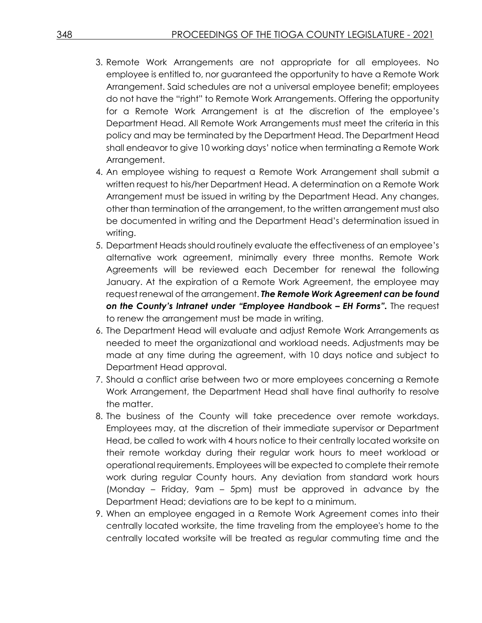- 3. Remote Work Arrangements are not appropriate for all employees. No employee is entitled to, nor guaranteed the opportunity to have a Remote Work Arrangement. Said schedules are not a universal employee benefit; employees do not have the "right" to Remote Work Arrangements. Offering the opportunity for a Remote Work Arrangement is at the discretion of the employee's Department Head. All Remote Work Arrangements must meet the criteria in this policy and may be terminated by the Department Head. The Department Head shall endeavor to give 10 working days' notice when terminating a Remote Work Arrangement.
- 4. An employee wishing to request a Remote Work Arrangement shall submit a written request to his/her Department Head. A determination on a Remote Work Arrangement must be issued in writing by the Department Head. Any changes, other than termination of the arrangement, to the written arrangement must also be documented in writing and the Department Head's determination issued in writing.
- 5. Department Heads should routinely evaluate the effectiveness of an employee's alternative work agreement, minimally every three months. Remote Work Agreements will be reviewed each December for renewal the following January. At the expiration of a Remote Work Agreement, the employee may request renewal of the arrangement. *The Remote Work Agreement can be found on the County's Intranet under "Employee Handbook – EH Forms".* The request to renew the arrangement must be made in writing.
- 6. The Department Head will evaluate and adjust Remote Work Arrangements as needed to meet the organizational and workload needs. Adjustments may be made at any time during the agreement, with 10 days notice and subject to Department Head approval.
- 7. Should a conflict arise between two or more employees concerning a Remote Work Arrangement, the Department Head shall have final authority to resolve the matter.
- 8. The business of the County will take precedence over remote workdays. Employees may, at the discretion of their immediate supervisor or Department Head, be called to work with 4 hours notice to their centrally located worksite on their remote workday during their regular work hours to meet workload or operational requirements. Employees will be expected to complete their remote work during regular County hours. Any deviation from standard work hours (Monday – Friday, 9am – 5pm) must be approved in advance by the Department Head; deviations are to be kept to a minimum.
- 9. When an employee engaged in a Remote Work Agreement comes into their centrally located worksite, the time traveling from the employee's home to the centrally located worksite will be treated as regular commuting time and the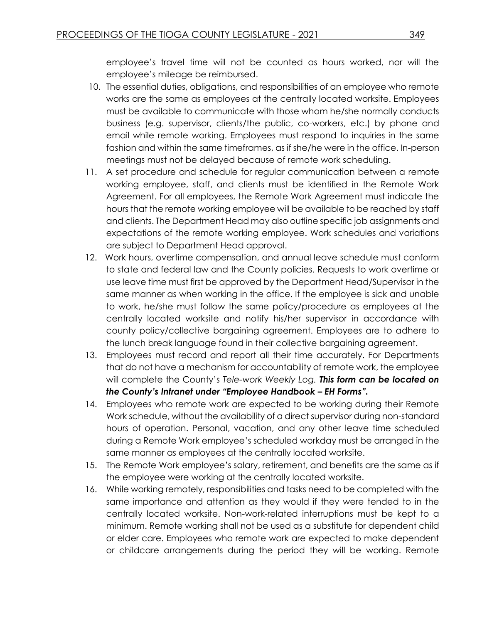employee's travel time will not be counted as hours worked, nor will the employee's mileage be reimbursed.

- 10. The essential duties, obligations, and responsibilities of an employee who remote works are the same as employees at the centrally located worksite. Employees must be available to communicate with those whom he/she normally conducts business (e.g. supervisor, clients/the public, co-workers, etc.) by phone and email while remote working. Employees must respond to inquiries in the same fashion and within the same timeframes, as if she/he were in the office. In-person meetings must not be delayed because of remote work scheduling.
- 11. A set procedure and schedule for regular communication between a remote working employee, staff, and clients must be identified in the Remote Work Agreement. For all employees, the Remote Work Agreement must indicate the hours that the remote working employee will be available to be reached by staff and clients. The Department Head may also outline specific job assignments and expectations of the remote working employee. Work schedules and variations are subject to Department Head approval.
- 12. Work hours, overtime compensation, and annual leave schedule must conform to state and federal law and the County policies. Requests to work overtime or use leave time must first be approved by the Department Head/Supervisor in the same manner as when working in the office. If the employee is sick and unable to work, he/she must follow the same policy/procedure as employees at the centrally located worksite and notify his/her supervisor in accordance with county policy/collective bargaining agreement. Employees are to adhere to the lunch break language found in their collective bargaining agreement.
- 13. Employees must record and report all their time accurately. For Departments that do not have a mechanism for accountability of remote work, the employee will complete the County's *Tele-work Weekly Log. This form can be located on the County's Intranet under "Employee Handbook – EH Forms".*
- 14. Employees who remote work are expected to be working during their Remote Work schedule, without the availability of a direct supervisor during non-standard hours of operation. Personal, vacation, and any other leave time scheduled during a Remote Work employee's scheduled workday must be arranged in the same manner as employees at the centrally located worksite.
- 15. The Remote Work employee's salary, retirement, and benefits are the same as if the employee were working at the centrally located worksite.
- 16. While working remotely, responsibilities and tasks need to be completed with the same importance and attention as they would if they were tended to in the centrally located worksite. Non-work-related interruptions must be kept to a minimum. Remote working shall not be used as a substitute for dependent child or elder care. Employees who remote work are expected to make dependent or childcare arrangements during the period they will be working. Remote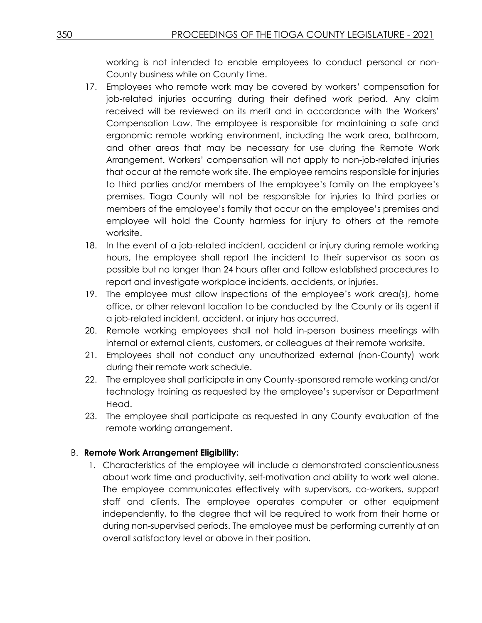working is not intended to enable employees to conduct personal or non-County business while on County time.

- 17. Employees who remote work may be covered by workers' compensation for job-related injuries occurring during their defined work period. Any claim received will be reviewed on its merit and in accordance with the Workers' Compensation Law. The employee is responsible for maintaining a safe and ergonomic remote working environment, including the work area, bathroom, and other areas that may be necessary for use during the Remote Work Arrangement. Workers' compensation will not apply to non-job-related injuries that occur at the remote work site. The employee remains responsible for injuries to third parties and/or members of the employee's family on the employee's premises. Tioga County will not be responsible for injuries to third parties or members of the employee's family that occur on the employee's premises and employee will hold the County harmless for injury to others at the remote worksite.
- 18. In the event of a job-related incident, accident or injury during remote working hours, the employee shall report the incident to their supervisor as soon as possible but no longer than 24 hours after and follow established procedures to report and investigate workplace incidents, accidents, or injuries.
- 19. The employee must allow inspections of the employee's work area(s), home office, or other relevant location to be conducted by the County or its agent if a job-related incident, accident, or injury has occurred.
- 20. Remote working employees shall not hold in-person business meetings with internal or external clients, customers, or colleagues at their remote worksite.
- 21. Employees shall not conduct any unauthorized external (non-County) work during their remote work schedule.
- 22. The employee shall participate in any County-sponsored remote working and/or technology training as requested by the employee's supervisor or Department Head.
- 23. The employee shall participate as requested in any County evaluation of the remote working arrangement.

# B. **Remote Work Arrangement Eligibility:**

1. Characteristics of the employee will include a demonstrated conscientiousness about work time and productivity, self-motivation and ability to work well alone. The employee communicates effectively with supervisors, co-workers, support staff and clients. The employee operates computer or other equipment independently, to the degree that will be required to work from their home or during non-supervised periods. The employee must be performing currently at an overall satisfactory level or above in their position.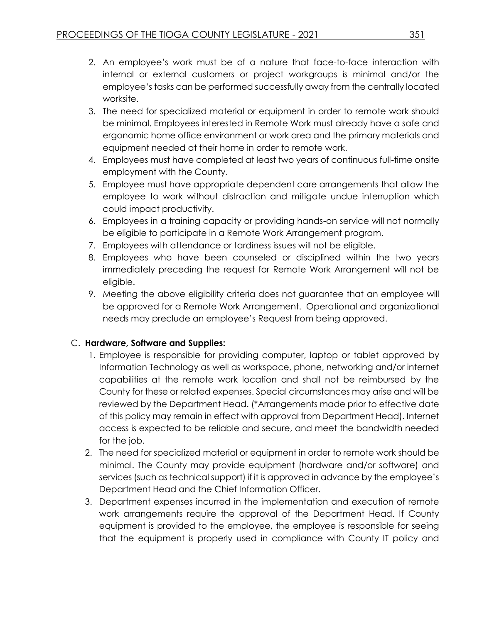- 2. An employee's work must be of a nature that face-to-face interaction with internal or external customers or project workgroups is minimal and/or the employee's tasks can be performed successfully away from the centrally located worksite.
- 3. The need for specialized material or equipment in order to remote work should be minimal. Employees interested in Remote Work must already have a safe and ergonomic home office environment or work area and the primary materials and equipment needed at their home in order to remote work.
- 4. Employees must have completed at least two years of continuous full-time onsite employment with the County.
- 5. Employee must have appropriate dependent care arrangements that allow the employee to work without distraction and mitigate undue interruption which could impact productivity.
- 6. Employees in a training capacity or providing hands-on service will not normally be eligible to participate in a Remote Work Arrangement program.
- 7. Employees with attendance or tardiness issues will not be eligible.
- 8. Employees who have been counseled or disciplined within the two years immediately preceding the request for Remote Work Arrangement will not be eligible.
- 9. Meeting the above eligibility criteria does not guarantee that an employee will be approved for a Remote Work Arrangement. Operational and organizational needs may preclude an employee's Request from being approved.

# C. **Hardware, Software and Supplies:**

- 1. Employee is responsible for providing computer, laptop or tablet approved by Information Technology as well as workspace, phone, networking and/or internet capabilities at the remote work location and shall not be reimbursed by the County for these or related expenses. Special circumstances may arise and will be reviewed by the Department Head. (\*Arrangements made prior to effective date of this policy may remain in effect with approval from Department Head). Internet access is expected to be reliable and secure, and meet the bandwidth needed for the job.
- 2. The need for specialized material or equipment in order to remote work should be minimal. The County may provide equipment (hardware and/or software) and services (such as technical support) if it is approved in advance by the employee's Department Head and the Chief Information Officer.
- 3. Department expenses incurred in the implementation and execution of remote work arrangements require the approval of the Department Head. If County equipment is provided to the employee, the employee is responsible for seeing that the equipment is properly used in compliance with County IT policy and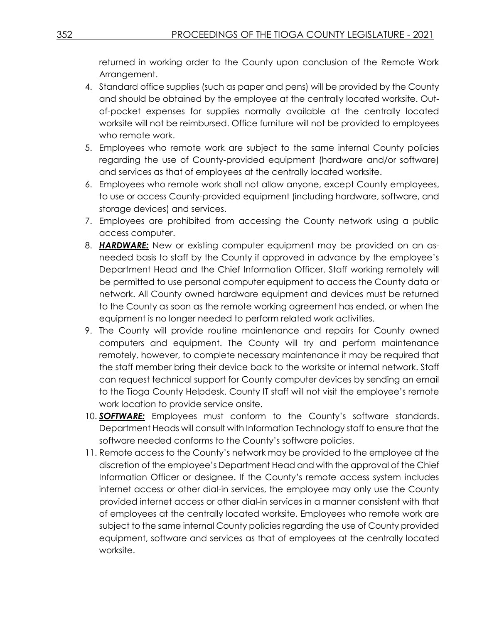returned in working order to the County upon conclusion of the Remote Work Arrangement.

- 4. Standard office supplies (such as paper and pens) will be provided by the County and should be obtained by the employee at the centrally located worksite. Outof-pocket expenses for supplies normally available at the centrally located worksite will not be reimbursed. Office furniture will not be provided to employees who remote work.
- 5. Employees who remote work are subject to the same internal County policies regarding the use of County-provided equipment (hardware and/or software) and services as that of employees at the centrally located worksite.
- 6. Employees who remote work shall not allow anyone, except County employees, to use or access County-provided equipment (including hardware, software, and storage devices) and services.
- 7. Employees are prohibited from accessing the County network using a public access computer.
- 8. *HARDWARE:* New or existing computer equipment may be provided on an asneeded basis to staff by the County if approved in advance by the employee's Department Head and the Chief Information Officer. Staff working remotely will be permitted to use personal computer equipment to access the County data or network. All County owned hardware equipment and devices must be returned to the County as soon as the remote working agreement has ended, or when the equipment is no longer needed to perform related work activities.
- 9. The County will provide routine maintenance and repairs for County owned computers and equipment. The County will try and perform maintenance remotely, however, to complete necessary maintenance it may be required that the staff member bring their device back to the worksite or internal network. Staff can request technical support for County computer devices by sending an email to the Tioga County Helpdesk. County IT staff will not visit the employee's remote work location to provide service onsite.
- 10. *SOFTWARE:* Employees must conform to the County's software standards. Department Heads will consult with Information Technology staff to ensure that the software needed conforms to the County's software policies.
- 11. Remote access to the County's network may be provided to the employee at the discretion of the employee's Department Head and with the approval of the Chief Information Officer or designee. If the County's remote access system includes internet access or other dial-in services, the employee may only use the County provided internet access or other dial-in services in a manner consistent with that of employees at the centrally located worksite. Employees who remote work are subject to the same internal County policies regarding the use of County provided equipment, software and services as that of employees at the centrally located worksite.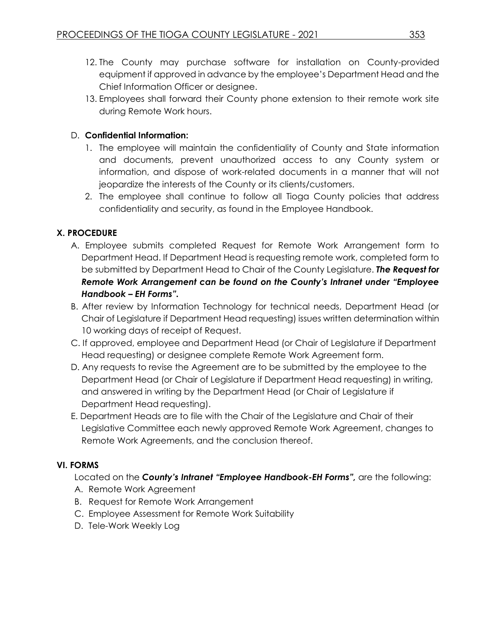- 12. The County may purchase software for installation on County-provided equipment if approved in advance by the employee's Department Head and the Chief Information Officer or designee.
- 13. Employees shall forward their County phone extension to their remote work site during Remote Work hours.

# D. **Confidential Information:**

- 1. The employee will maintain the confidentiality of County and State information and documents, prevent unauthorized access to any County system or information, and dispose of work-related documents in a manner that will not jeopardize the interests of the County or its clients/customers.
- 2. The employee shall continue to follow all Tioga County policies that address confidentiality and security, as found in the Employee Handbook.

# **X. PROCEDURE**

- A. Employee submits completed Request for Remote Work Arrangement form to Department Head. If Department Head is requesting remote work, completed form to be submitted by Department Head to Chair of the County Legislature. *The Request for Remote Work Arrangement can be found on the County's Intranet under "Employee Handbook – EH Forms".*
- B. After review by Information Technology for technical needs, Department Head (or Chair of Legislature if Department Head requesting) issues written determination within 10 working days of receipt of Request.
- C. If approved, employee and Department Head (or Chair of Legislature if Department Head requesting) or designee complete Remote Work Agreement form.
- D. Any requests to revise the Agreement are to be submitted by the employee to the Department Head (or Chair of Legislature if Department Head requesting) in writing, and answered in writing by the Department Head (or Chair of Legislature if Department Head requesting).
- E. Department Heads are to file with the Chair of the Legislature and Chair of their Legislative Committee each newly approved Remote Work Agreement, changes to Remote Work Agreements, and the conclusion thereof.

# **VI. FORMS**

Located on the *County's Intranet "Employee Handbook-EH Forms",* are the following:

- A. Remote Work Agreement
- B. Request for Remote Work Arrangement
- C. Employee Assessment for Remote Work Suitability
- D. Tele-Work Weekly Log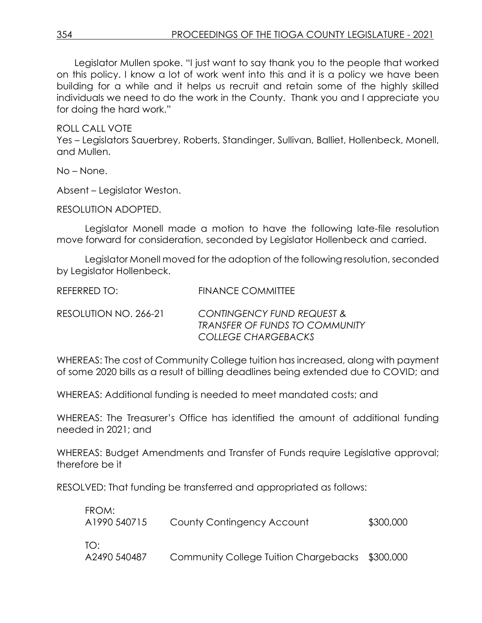Legislator Mullen spoke. "I just want to say thank you to the people that worked on this policy. I know a lot of work went into this and it is a policy we have been building for a while and it helps us recruit and retain some of the highly skilled individuals we need to do the work in the County. Thank you and I appreciate you for doing the hard work."

ROLL CALL VOTE Yes – Legislators Sauerbrey, Roberts, Standinger, Sullivan, Balliet, Hollenbeck, Monell, and Mullen.

No – None.

Absent – Legislator Weston.

RESOLUTION ADOPTED.

Legislator Monell made a motion to have the following late-file resolution move forward for consideration, seconded by Legislator Hollenbeck and carried.

Legislator Monell moved for the adoption of the following resolution, seconded by Legislator Hollenbeck.

| REFERRED TO:          | <b>FINANCE COMMITTEE</b>                                                                                     |
|-----------------------|--------------------------------------------------------------------------------------------------------------|
| RESOLUTION NO. 266-21 | <b>CONTINGENCY FUND REQUEST &amp;</b><br><b>TRANSFER OF FUNDS TO COMMUNITY</b><br><b>COLLEGE CHARGEBACKS</b> |

WHEREAS: The cost of Community College tuition has increased, along with payment of some 2020 bills as a result of billing deadlines being extended due to COVID; and

WHEREAS: Additional funding is needed to meet mandated costs; and

WHEREAS: The Treasurer's Office has identified the amount of additional funding needed in 2021; and

WHEREAS: Budget Amendments and Transfer of Funds require Legislative approval; therefore be it

RESOLVED: That funding be transferred and appropriated as follows:

| FROM:<br>A1990 540715 | County Contingency Account                      | \$300,000 |
|-----------------------|-------------------------------------------------|-----------|
| T∩∙<br>A2490 540487   | Community College Tuition Chargebacks \$300,000 |           |